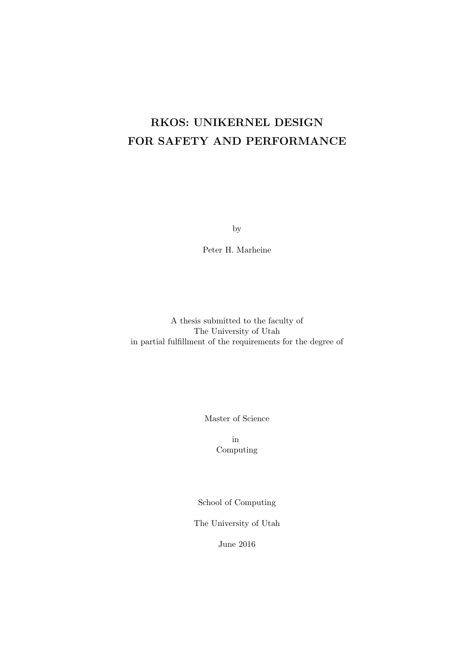# <span id="page-0-0"></span>**RKOS: UNIKERNEL DESIGN FOR SAFETY AND PERFORMANCE**

by

Peter H. Marheine

A thesis submitted to the faculty of The University of Utah in partial fulfillment of the requirements for the degree of

Master of Science

in Computing

School of Computing

The University of Utah

June 2016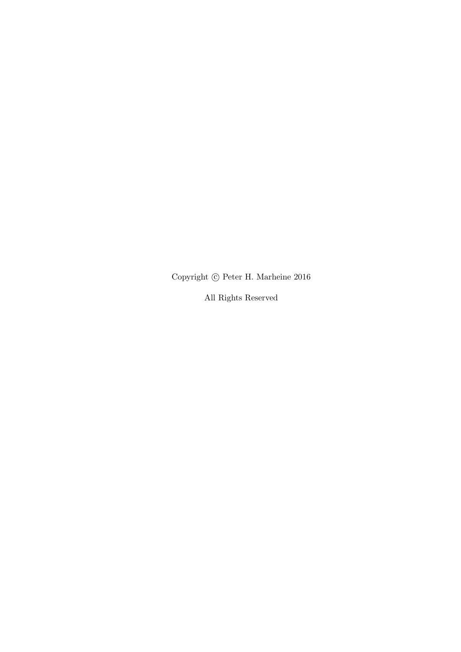Copyright *⃝*c Peter H. Marheine 2016

All Rights Reserved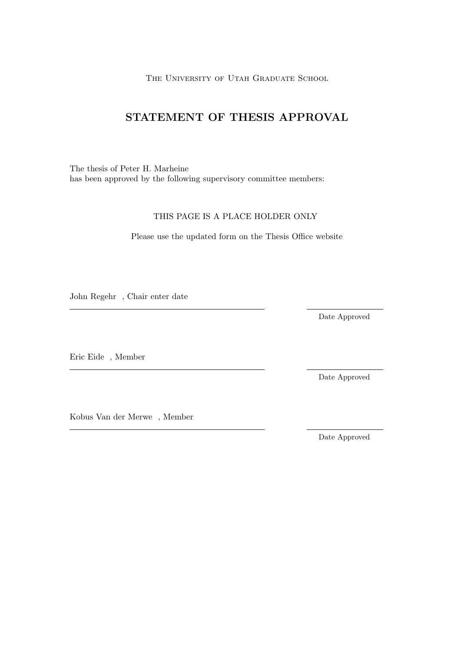THE UNIVERSITY OF UTAH GRADUATE SCHOOL

## **STATEMENT OF THESIS APPROVAL**

The thesis of Peter H. Marheine has been approved by the following supervisory committee members:

### THIS PAGE IS A PLACE HOLDER ONLY

Please use the updated form on the Thesis Office website

John Regehr , Chair enter date

Date Approved

Eric Eide , Member

Kobus Van der Merwe , Member

Date Approved

Date Approved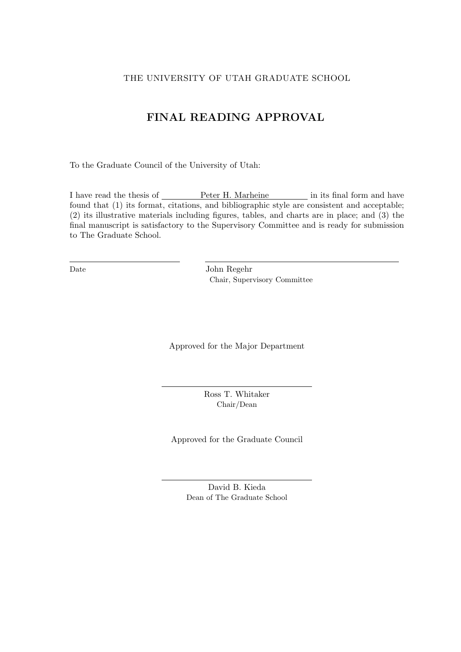### THE UNIVERSITY OF UTAH GRADUATE SCHOOL

## **FINAL READING APPROVAL**

To the Graduate Council of the University of Utah:

I have read the thesis of  $\hspace{1cm}$  Peter H. Marheine in its final form and have found that (1) its format, citations, and bibliographic style are consistent and acceptable; (2) its illustrative materials including figures, tables, and charts are in place; and (3) the final manuscript is satisfactory to the Supervisory Committee and is ready for submission to The Graduate School.

Date John Regehr Chair, Supervisory Committee

Approved for the Major Department

Ross T. Whitaker Chair/Dean

Approved for the Graduate Council

David B. Kieda Dean of The Graduate School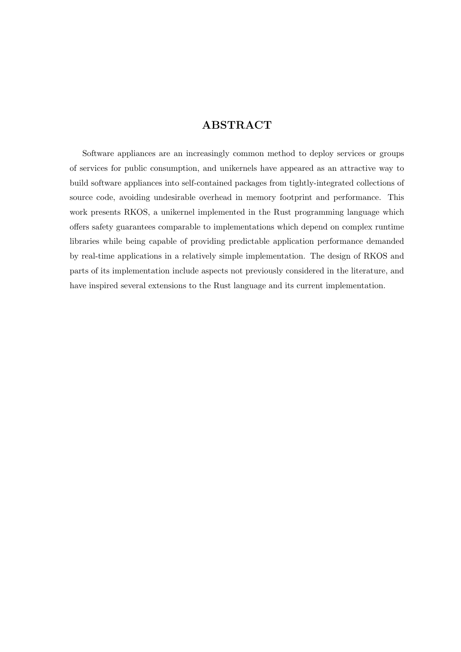## **ABSTRACT**

Software appliances are an increasingly common method to deploy services or groups of services for public consumption, and unikernels have appeared as an attractive way to build software appliances into self-contained packages from tightly-integrated collections of source code, avoiding undesirable overhead in memory footprint and performance. This work presents RKOS, a unikernel implemented in the Rust programming language which offers safety guarantees comparable to implementations which depend on complex runtime libraries while being capable of providing predictable application performance demanded by real-time applications in a relatively simple implementation. The design of RKOS and parts of its implementation include aspects not previously considered in the literature, and have inspired several extensions to the Rust language and its current implementation.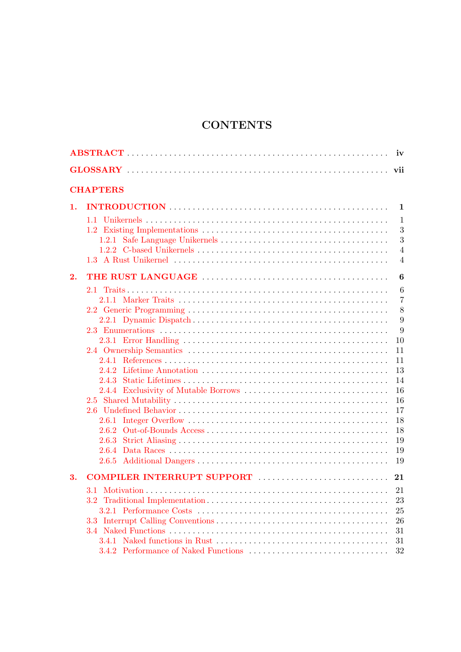## **CONTENTS**

|    | <b>CHAPTERS</b>            |                |  |  |  |  |
|----|----------------------------|----------------|--|--|--|--|
| 1. |                            | 1              |  |  |  |  |
|    |                            | $\mathbf{1}$   |  |  |  |  |
|    |                            | 3              |  |  |  |  |
|    |                            | 3              |  |  |  |  |
|    |                            | $\overline{4}$ |  |  |  |  |
|    |                            | $\overline{4}$ |  |  |  |  |
| 2. |                            | 6              |  |  |  |  |
|    |                            | 6              |  |  |  |  |
|    |                            | 7              |  |  |  |  |
|    |                            | 8              |  |  |  |  |
|    |                            | 9              |  |  |  |  |
|    |                            | 9              |  |  |  |  |
|    |                            | 10             |  |  |  |  |
|    |                            | 11             |  |  |  |  |
|    |                            | 11             |  |  |  |  |
|    |                            | 13             |  |  |  |  |
|    |                            | 14             |  |  |  |  |
|    |                            | 16             |  |  |  |  |
|    |                            | 16             |  |  |  |  |
|    |                            | 17             |  |  |  |  |
|    |                            | 18             |  |  |  |  |
|    |                            | 18             |  |  |  |  |
|    | 2.6.3                      | 19             |  |  |  |  |
|    | 2.6.4                      | 19             |  |  |  |  |
|    |                            | 19             |  |  |  |  |
| 3. | COMPILER INTERRUPT SUPPORT | 21             |  |  |  |  |
|    |                            | 21             |  |  |  |  |
|    |                            | 23             |  |  |  |  |
|    |                            | 25             |  |  |  |  |
|    |                            | 26             |  |  |  |  |
|    |                            | 31             |  |  |  |  |
|    |                            | 31             |  |  |  |  |
|    |                            | 32             |  |  |  |  |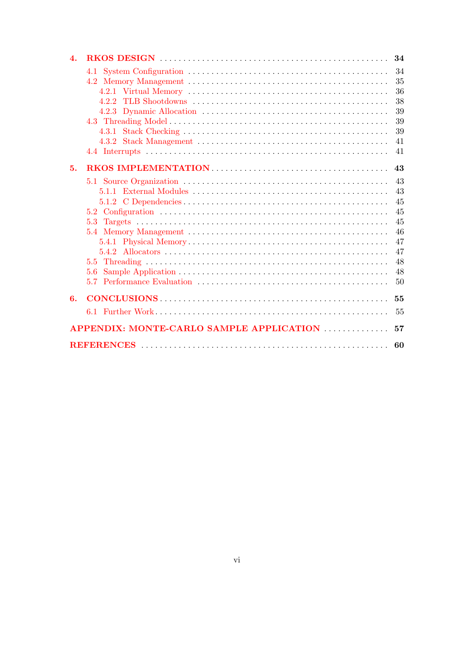| $\boldsymbol{A}$ .                             |     | 34                                                 |  |  |  |  |  |
|------------------------------------------------|-----|----------------------------------------------------|--|--|--|--|--|
|                                                |     | 34<br>35<br>36<br>38<br>39<br>39<br>39<br>41<br>41 |  |  |  |  |  |
|                                                |     |                                                    |  |  |  |  |  |
| 5.                                             |     | 43                                                 |  |  |  |  |  |
|                                                |     | 43                                                 |  |  |  |  |  |
|                                                |     | 43                                                 |  |  |  |  |  |
|                                                |     | 45                                                 |  |  |  |  |  |
|                                                |     | 45                                                 |  |  |  |  |  |
|                                                | 5.3 | 45                                                 |  |  |  |  |  |
|                                                |     | 46                                                 |  |  |  |  |  |
|                                                |     | 47                                                 |  |  |  |  |  |
|                                                |     | 47                                                 |  |  |  |  |  |
|                                                |     | 48                                                 |  |  |  |  |  |
|                                                | 5.6 | 48                                                 |  |  |  |  |  |
|                                                | 5.7 | 50                                                 |  |  |  |  |  |
| 6.                                             |     | 55                                                 |  |  |  |  |  |
|                                                |     | 55                                                 |  |  |  |  |  |
| APPENDIX: MONTE-CARLO SAMPLE APPLICATION<br>57 |     |                                                    |  |  |  |  |  |
| 60                                             |     |                                                    |  |  |  |  |  |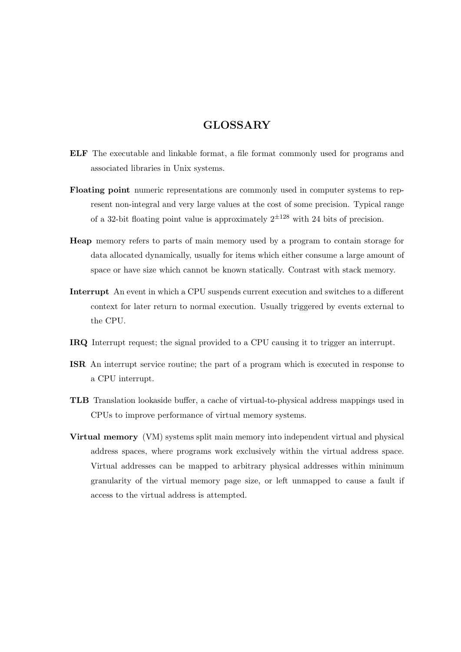## **GLOSSARY**

- **ELF** The executable and linkable format, a file format commonly used for programs and associated libraries in Unix systems.
- **Floating point** numeric representations are commonly used in computer systems to represent non-integral and very large values at the cost of some precision. Typical range of a 32-bit floating point value is approximately  $2^{\pm 128}$  with 24 bits of precision.
- **Heap** memory refers to parts of main memory used by a program to contain storage for data allocated dynamically, usually for items which either consume a large amount of space or have size which cannot be known statically. Contrast with stack memory.
- **Interrupt** An event in which a CPU suspends current execution and switches to a different context for later return to normal execution. Usually triggered by events external to the CPU.
- **IRQ** Interrupt request; the signal provided to a CPU causing it to trigger an interrupt.
- **ISR** An interrupt service routine; the part of a program which is executed in response to a CPU interrupt.
- **TLB** Translation lookaside buffer, a cache of virtual-to-physical address mappings used in CPUs to improve performance of virtual memory systems.
- **Virtual memory** (VM) systems split main memory into independent virtual and physical address spaces, where programs work exclusively within the virtual address space. Virtual addresses can be mapped to arbitrary physical addresses within minimum granularity of the virtual memory page size, or left unmapped to cause a fault if access to the virtual address is attempted.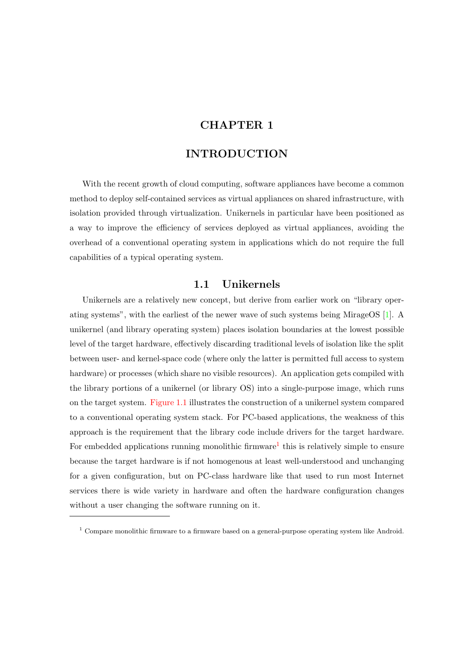## **CHAPTER 1**

### **INTRODUCTION**

<span id="page-8-0"></span>With the recent growth of cloud computing, software appliances have become a common method to deploy self-contained services as virtual appliances on shared infrastructure, with isolation provided through virtualization. Unikernels in particular have been positioned as a way to improve the efficiency of services deployed as virtual appliances, avoiding the overhead of a conventional operating system in applications which do not require the full capabilities of a typical operating system.

### **1.1 Unikernels**

<span id="page-8-1"></span>Unikernels are a relatively new concept, but derive from earlier work on "library operating systems", with the earliest of the newer wave of such systems being MirageOS [1]. A unikernel (and library operating system) places isolation boundaries at the lowest possible level of the target hardware, effectively discarding traditional levels of isolation like the split between user- and kernel-space code (where only the latter is permitted full access to s[ys](#page-67-0)tem hardware) or processes (which share no visible resources). An application gets compiled with the library portions of a unikernel (or library OS) into a single-purpose image, which runs on the target system. Figure 1.1 illustrates the construction of a unikernel system compared to a conventional operating system stack. For PC-based applications, the weakness of this approach is the requirement that the library code include drivers for the target hardware. For embedded applic[ations runn](#page-9-0)ing monolithic firmware<sup>1</sup> this is relatively simple to ensure because the target hardware is if not homogenous at least well-understood and unchanging for a given configuration, but on PC-class hardware like that used to run most Internet services there is wide variety in hardware and often the hardware configuration changes without a user changing the software running on it.

 $1$  Compare monolithic firmware to a firmware based on a general-purpose operating system like Android.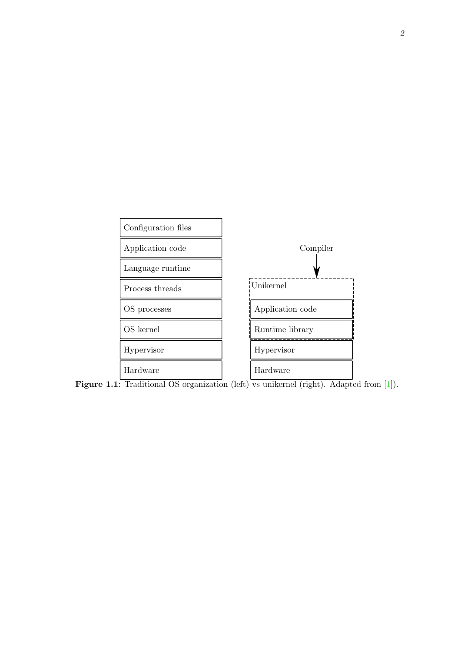<span id="page-9-0"></span>

Figure 1.1: Traditional OS organization (left) vs unikernel (right). Adapted from [1]).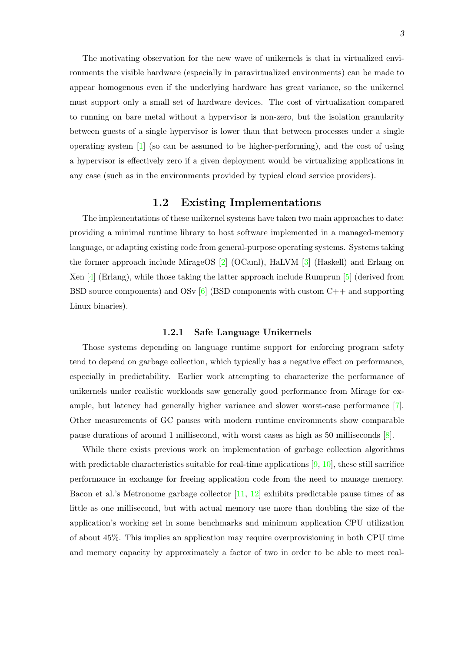The motivating observation for the new wave of unikernels is that in virtualized environments the visible hardware (especially in paravirtualized environments) can be made to appear homogenous even if the underlying hardware has great variance, so the unikernel must support only a small set of hardware devices. The cost of virtualization compared to running on bare metal without a hypervisor is non-zero, but the isolation granularity between guests of a single hypervisor is lower than that between processes under a single operating system [1] (so can be assumed to be higher-performing), and the cost of using a hypervisor is effectively zero if a given deployment would be virtualizing applications in any case (such as in the environments provided by typical cloud service providers).

### **1.2 Existing Implementations**

<span id="page-10-0"></span>The implementations of these unikernel systems have taken two main approaches to date: providing a minimal runtime library to host software implemented in a managed-memory language, or adapting existing code from general-purpose operating systems. Systems taking the former approach include MirageOS [2] (OCaml), HaLVM [3] (Haskell) and Erlang on Xen  $[4]$  (Erlang), while those taking the latter approach include Rumprun  $[5]$  (derived from BSD source components) and OSv  $[6]$  (BSD components with custom C++ and supporting Linux binaries).

#### **1.2.1 S[af](#page-67-1)e Language Unikernels**

<span id="page-10-1"></span>Those systems depending on language runtime support for enforcing program safety tend to depend on garbage collection, which typically has a negative effect on performance, especially in predictability. Earlier work attempting to characterize the performance of unikernels under realistic workloads saw generally good performance from Mirage for example, but latency had generally higher variance and slower worst-case performance [7]. Other measurements of GC pauses with modern runtime environments show comparable pause durations of around 1 millisecond, with worst cases as high as 50 milliseconds [8].

While there exists previous work on implementation of garbage collection algorith[m](#page-67-2)s with predictable characteristics suitable for real-time applications  $[9, 10]$ , these still sacrifice performance in exchange for freeing application code from the need to manage me[m](#page-67-3)ory. Bacon et al.'s Metronome garbage collector [11, 12] exhibits predictable pause times of as little as one millisecond, but with actual memory use more than [d](#page-67-4)[oub](#page-67-5)ling the size of the application's working set in some benchmarks and minimum application CPU utilization of about 45%. This implies an application m[ay](#page-67-6) r[equ](#page-67-7)ire overprovisioning in both CPU time and memory capacity by approximately a factor of two in order to be able to meet real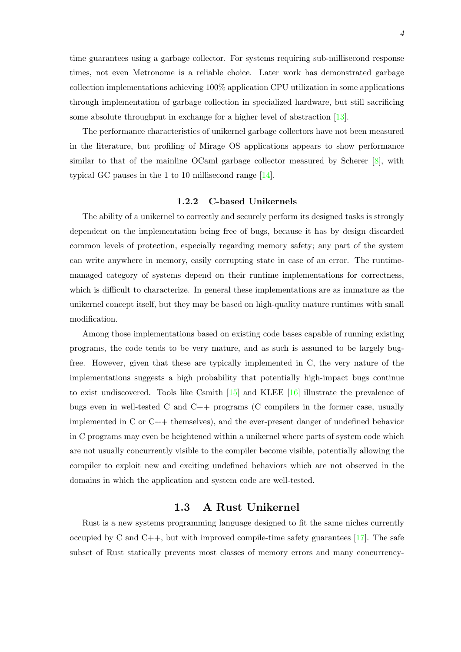time guarantees using a garbage collector. For systems requiring sub-millisecond response times, not even Metronome is a reliable choice. Later work has demonstrated garbage collection implementations achieving 100% application CPU utilization in some applications through implementation of garbage collection in specialized hardware, but still sacrificing some absolute throughput in exchange for a higher level of abstraction [13].

The performance characteristics of unikernel garbage collectors have not been measured in the literature, but profiling of Mirage OS applications appears to show performance similar to that of the mainline OCaml garbage collector measured b[y S](#page-67-8)cherer [8], with typical GC pauses in the 1 to 10 millisecond range [14].

#### **1.2.2 C-based Unikernels**

<span id="page-11-0"></span>The ability of a unikernel to correctly and secure[ly p](#page-67-9)erform its designed tasks is strongly dependent on the implementation being free of bugs, because it has by design discarded common levels of protection, especially regarding memory safety; any part of the system can write anywhere in memory, easily corrupting state in case of an error. The runtimemanaged category of systems depend on their runtime implementations for correctness, which is difficult to characterize. In general these implementations are as immature as the unikernel concept itself, but they may be based on high-quality mature runtimes with small modification.

Among those implementations based on existing code bases capable of running existing programs, the code tends to be very mature, and as such is assumed to be largely bugfree. However, given that these are typically implemented in C, the very nature of the implementations suggests a high probability that potentially high-impact bugs continue to exist undiscovered. Tools like Csmith  $[15]$  and KLEE  $[16]$  illustrate the prevalence of bugs even in well-tested C and C++ programs (C compilers in the former case, usually implemented in C or C++ themselves), and the ever-present danger of undefined behavior in C programs may even be heightened wit[hin](#page-68-0) a unikernel w[her](#page-68-1)e parts of system code which are not usually concurrently visible to the compiler become visible, potentially allowing the compiler to exploit new and exciting undefined behaviors which are not observed in the domains in which the application and system code are well-tested.

### **1.3 A Rust Unikernel**

<span id="page-11-1"></span>Rust is a new systems programming language designed to fit the same niches currently occupied by C and C++, but with improved compile-time safety guarantees  $[17]$ . The safe subset of Rust statically prevents most classes of memory errors and many concurrency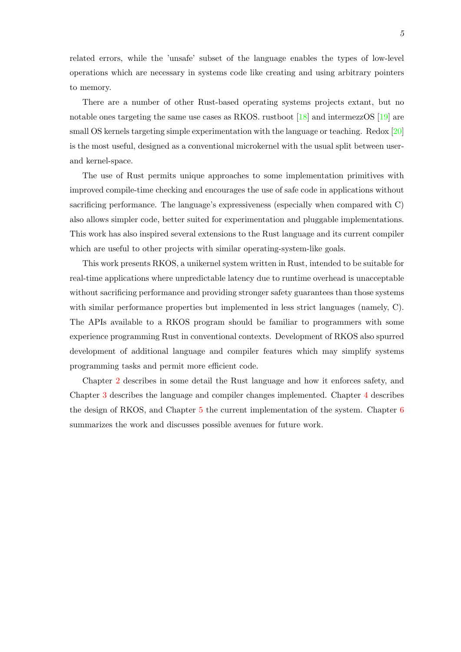related errors, while the 'unsafe' subset of the language enables the types of low-level operations which are necessary in systems code like creating and using arbitrary pointers to memory.

There are a number of other Rust-based operating systems projects extant, but no notable ones targeting the same use cases as RKOS. rustboot [18] and intermezzOS [19] are small OS kernels targeting simple experimentation with the language or teaching. Redox [20] is the most useful, designed as a conventional microkernel with the usual split between userand kernel-space.

The use of Rust permits unique approaches to some implementation primitives [with](#page-68-2) improved compile-time checking and encourages the use of safe code in applications without sacrificing performance. The language's expressiveness (especially when compared with C) also allows simpler code, better suited for experimentation and pluggable implementations. This work has also inspired several extensions to the Rust language and its current compiler which are useful to other projects with similar operating-system-like goals.

This work presents RKOS, a unikernel system written in Rust, intended to be suitable for real-time applications where unpredictable latency due to runtime overhead is unacceptable without sacrificing performance and providing stronger safety guarantees than those systems with similar performance properties but implemented in less strict languages (namely, C). The APIs available to a RKOS program should be familiar to programmers with some experience programming Rust in conventional contexts. Development of RKOS also spurred development of additional language and compiler features which may simplify systems programming tasks and permit more efficient code.

Chapter 2 describes in some detail the Rust language and how it enforces safety, and Chapter 3 describes the language and compiler changes implemented. Chapter 4 describes the design of RKOS, and Chapter 5 the current implementation of the system. Chapter 6 summarizes [th](#page-13-0)e work and discusses possible avenues for future work.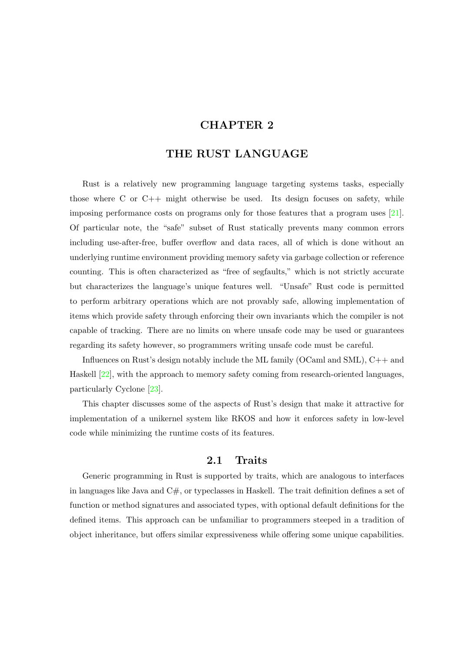## **CHAPTER 2**

## **THE RUST LANGUAGE**

<span id="page-13-0"></span>Rust is a relatively new programming language targeting systems tasks, especially those where C or C++ might otherwise be used. Its design focuses on safety, while imposing performance costs on programs only for those features that a program uses [21]. Of particular note, the "safe" subset of Rust statically prevents many common errors including use-after-free, buffer overflow and data races, all of which is done without an underlying runtime environment providing memory safety via garbage collection or refer[enc](#page-68-3)e counting. This is often characterized as "free of segfaults," which is not strictly accurate but characterizes the language's unique features well. "Unsafe" Rust code is permitted to perform arbitrary operations which are not provably safe, allowing implementation of items which provide safety through enforcing their own invariants which the compiler is not capable of tracking. There are no limits on where unsafe code may be used or guarantees regarding its safety however, so programmers writing unsafe code must be careful.

Influences on Rust's design notably include the ML family (OCaml and SML), C++ and Haskell [22], with the approach to memory safety coming from research-oriented languages, particularly Cyclone [23].

This chapter discusses some of the aspects of Rust's design that make it attractive for impleme[nta](#page-68-4)tion of a unikernel system like RKOS and how it enforces safety in low-level code while minimizin[g th](#page-68-5)e runtime costs of its features.

### **2.1 Traits**

<span id="page-13-1"></span>Generic programming in Rust is supported by traits, which are analogous to interfaces in languages like Java and  $C#$ , or typeclasses in Haskell. The trait definition defines a set of function or method signatures and associated types, with optional default definitions for the defined items. This approach can be unfamiliar to programmers steeped in a tradition of object inheritance, but offers similar expressiveness while offering some unique capabilities.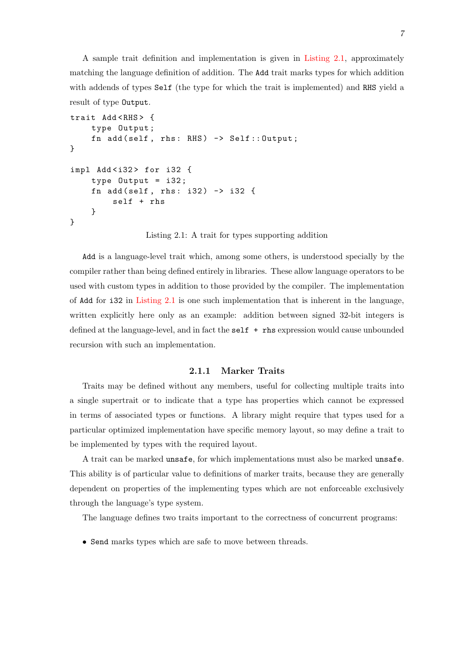A sample trait definition and implementation is given in Listing 2.1, approximately matching the language definition of addition. The Add trait marks types for which addition with addends of types Self (the type for which the trait is implemented) and RHS yield a result of type Output.

```
trait Add <RHS> {
    type Output ;
    fn add(self, rhs: RHS) \rightarrow Self::Output;}
impl Add < i32 > for i32 {
    type Output = i32 ;
    fn add (self, rhs: i32) -> i32 {
         self + rhs
    }
}
```
Listing 2.1: A trait for types supporting addition

Add is a language-level trait which, among some others, is understood specially by the compiler rather than being defined entirely in libraries. These allow language operators to be used with custom types in addition to those provided by the compiler. The implementation of Add for i32 in Listing 2.1 is one such implementation that is inherent in the language, written explicitly here only as an example: addition between signed 32-bit integers is defined at the language-level, and in fact the self + rhs expression would cause unbounded recursion with su[ch an imple](#page-14-1)mentation.

### **2.1.1 Marker Traits**

<span id="page-14-0"></span>Traits may be defined without any members, useful for collecting multiple traits into a single supertrait or to indicate that a type has properties which cannot be expressed in terms of associated types or functions. A library might require that types used for a particular optimized implementation have specific memory layout, so may define a trait to be implemented by types with the required layout.

A trait can be marked unsafe, for which implementations must also be marked unsafe. This ability is of particular value to definitions of marker traits, because they are generally dependent on properties of the implementing types which are not enforceable exclusively through the language's type system.

The language defines two traits important to the correctness of concurrent programs:

• Send marks types which are safe to move between threads.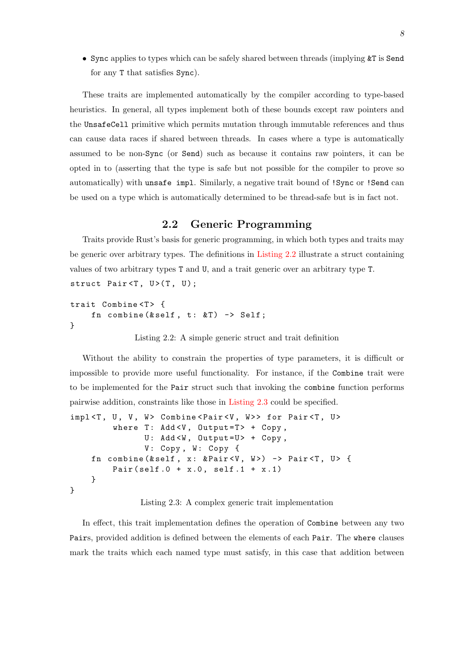• Sync applies to types which can be safely shared between threads (implying  $\&\mathsf{T}$  is Send for any T that satisfies Sync).

These traits are implemented automatically by the compiler according to type-based heuristics. In general, all types implement both of these bounds except raw pointers and the UnsafeCell primitive which permits mutation through immutable references and thus can cause data races if shared between threads. In cases where a type is automatically assumed to be non-Sync (or Send) such as because it contains raw pointers, it can be opted in to (asserting that the type is safe but not possible for the compiler to prove so automatically) with unsafe impl. Similarly, a negative trait bound of !Sync or !Send can be used on a type which is automatically determined to be thread-safe but is in fact not.

## **2.2 Generic Programming**

<span id="page-15-0"></span>Traits provide Rust's basis for generic programming, in which both types and traits may be generic over arbitrary types. The definitions in Listing 2.2 illustrate a struct containing values of two arbitrary types T and U, and a trait generic over an arbitrary type T. struct Pair $(T, U)$ ;

```
trait Combine<T> {
      fn combine (k \text{self}, t : kT) \rightarrow \text{Self};
}
```
Listing 2.2: A simple generic struct and trait definition

Without the ability to constrain the properties of type parameters, it is difficult or impossible to provide more useful functionality. For instance, if the Combine trait were to be implemented for the Pair struct such that invoking the combine function performs pairwise addition, constraints like those in Listing 2.3 could be specified.

```
impl<T, U, V, W> Combine<Pair<V, W>> for Pair<T, U>
         where T: Add <i>V</i>, Output = T > + Copy,
               U: Add <W, Output=U> + Copy,
               V: Copy, W: Copy \{fn combine (& self, x: & Pair <V, W > > -> Pair <T, U > {
         Pair ( self .0 + x.0, self .1 + x.1)
    }
}
```


In effect, this trait implementation defines the operation of Combine between any two Pairs, provided addition is defined between the elements of each Pair. The where clauses mark the traits which each named type must satisfy, in this case that addition between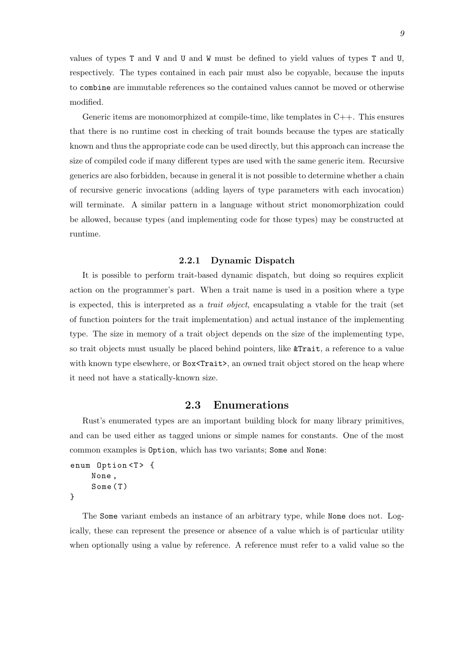values of types T and V and U and W must be defined to yield values of types T and U, respectively. The types contained in each pair must also be copyable, because the inputs to combine are immutable references so the contained values cannot be moved or otherwise modified.

Generic items are monomorphized at compile-time, like templates in  $C_{++}$ . This ensures that there is no runtime cost in checking of trait bounds because the types are statically known and thus the appropriate code can be used directly, but this approach can increase the size of compiled code if many different types are used with the same generic item. Recursive generics are also forbidden, because in general it is not possible to determine whether a chain of recursive generic invocations (adding layers of type parameters with each invocation) will terminate. A similar pattern in a language without strict monomorphization could be allowed, because types (and implementing code for those types) may be constructed at runtime.

#### **2.2.1 Dynamic Dispatch**

<span id="page-16-0"></span>It is possible to perform trait-based dynamic dispatch, but doing so requires explicit action on the programmer's part. When a trait name is used in a position where a type is expected, this is interpreted as a *trait object*, encapsulating a vtable for the trait (set of function pointers for the trait implementation) and actual instance of the implementing type. The size in memory of a trait object depends on the size of the implementing type, so trait objects must usually be placed behind pointers, like &Trait, a reference to a value with known type elsewhere, or Box<Trait>, an owned trait object stored on the heap where it need not have a statically-known size.

### **2.3 Enumerations**

<span id="page-16-1"></span>Rust's enumerated types are an important building block for many library primitives, and can be used either as tagged unions or simple names for constants. One of the most common examples is Option, which has two variants; Some and None:

```
enum Option <T> {
    None ,
     Some (T)
}
```
The Some variant embeds an instance of an arbitrary type, while None does not. Logically, these can represent the presence or absence of a value which is of particular utility when optionally using a value by reference. A reference must refer to a valid value so the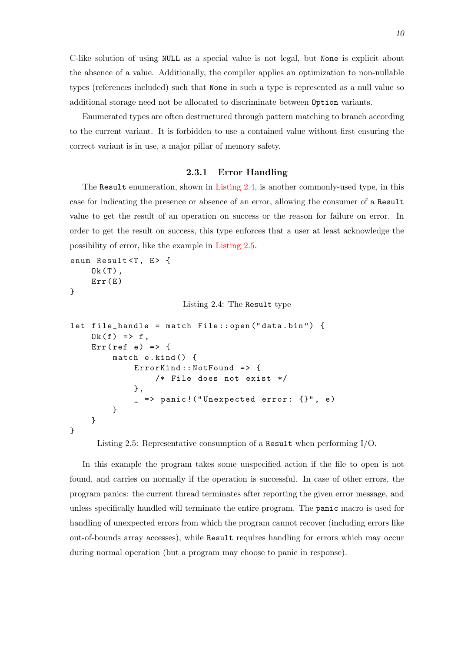C-like solution of using NULL as a special value is not legal, but None is explicit about the absence of a value. Additionally, the compiler applies an optimization to non-nullable types (references included) such that None in such a type is represented as a null value so additional storage need not be allocated to discriminate between Option variants.

Enumerated types are often destructured through pattern matching to branch according to the current variant. It is forbidden to use a contained value without first ensuring the correct variant is in use, a major pillar of memory safety.

#### **2.3.1 Error Handling**

<span id="page-17-0"></span>The Result enumeration, shown in Listing 2.4, is another commonly-used type, in this case for indicating the presence or absence of an error, allowing the consumer of a Result value to get the result of an operation on success or the reason for failure on error. In order to get the result on success, this [type enforc](#page-17-1)es that a user at least acknowledge the possibility of error, like the example in Listing 2.5.

```
enum Result<T, E> {
    0k(T),
    Err(E)}
                         Listing 2.4: The Result type
let file_handle = match File :: open (" data . bin ") {
    0k(f) \Rightarrow f,Err (ref e) => {
         match e.kind () {
              ErrorKind:: NotFound => {
                  /* File does not exist */
              },
              \angle => panic! ("Unexpected error: {}", e)
         }
    }
}
```
Listing 2.5: Representative consumption of a Result when performing I/O.

In this example the program takes some unspecified action if the file to open is not found, and carries on normally if the operation is successful. In case of other errors, the program panics: the current thread terminates after reporting the given error message, and unless specifically handled will terminate the entire program. The panic macro is used for handling of unexpected errors from which the program cannot recover (including errors like out-of-bounds array accesses), while Result requires handling for errors which may occur during normal operation (but a program may choose to panic in response).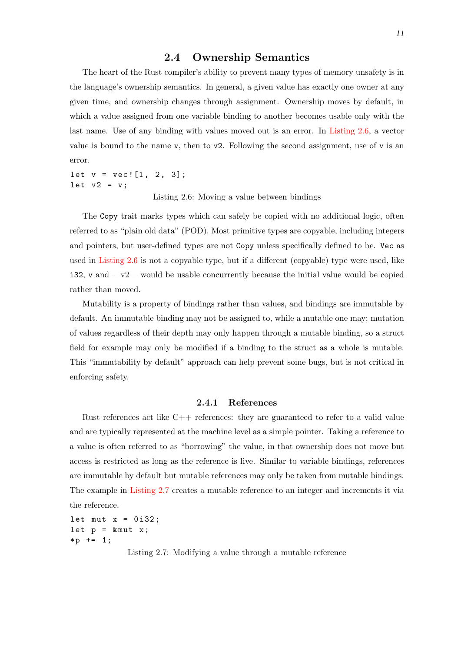### **2.4 Ownership Semantics**

<span id="page-18-0"></span>The heart of the Rust compiler's ability to prevent many types of memory unsafety is in the language's ownership semantics. In general, a given value has exactly one owner at any given time, and ownership changes through assignment. Ownership moves by default, in which a value assigned from one variable binding to another becomes usable only with the last name. Use of any binding with values moved out is an error. In Listing 2.6, a vector value is bound to the name v, then to  $\nu$ . Following the second assignment, use of v is an error.

let  $v = vec.[1, 2, 3];$ let  $v2 = v$ ;

Listing 2.6: Moving a value between bindings

<span id="page-18-2"></span>The Copy trait marks types which can safely be copied with no additional logic, often referred to as "plain old data" (POD). Most primitive types are copyable, including integers and pointers, but user-defined types are not Copy unless specifically defined to be. Vec as used in Listing 2.6 is not a copyable type, but if a different (copyable) type were used, like  $i32$ , v and  $-v2$ — would be usable concurrently because the initial value would be copied rather than moved.

Mut[ability is a](#page-18-2) property of bindings rather than values, and bindings are immutable by default. An immutable binding may not be assigned to, while a mutable one may; mutation of values regardless of their depth may only happen through a mutable binding, so a struct field for example may only be modified if a binding to the struct as a whole is mutable. This "immutability by default" approach can help prevent some bugs, but is not critical in enforcing safety.

#### **2.4.1 References**

<span id="page-18-1"></span>Rust references act like C++ references: they are guaranteed to refer to a valid value and are typically represented at the machine level as a simple pointer. Taking a reference to a value is often referred to as "borrowing" the value, in that ownership does not move but access is restricted as long as the reference is live. Similar to variable bindings, references are immutable by default but mutable references may only be taken from mutable bindings. The example in Listing 2.7 creates a mutable reference to an integer and increments it via the reference.

<span id="page-18-3"></span>let mut  $x = 0$  i32; let  $p = \&$  mut  $x$ ;  $*p += 1;$ 

Listing 2.7: Modifying a value through a mutable reference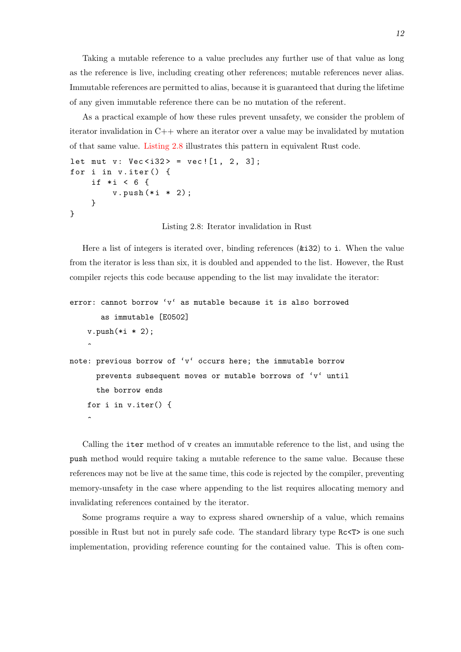Taking a mutable reference to a value precludes any further use of that value as long as the reference is live, including creating other references; mutable references never alias. Immutable references are permitted to alias, because it is guaranteed that during the lifetime of any given immutable reference there can be no mutation of the referent.

As a practical example of how these rules prevent unsafety, we consider the problem of iterator invalidation in C++ where an iterator over a value may be invalidated by mutation of that same value. Listing 2.8 illustrates this pattern in equivalent Rust code.

```
let mut v: Vec \le 32 = vec \: [1, 2, 3];
for i in v.iter() {
    if * {
        v.push (* i * 2);
    }
}
```
 $\hat{ }$ 

Listing 2.8: Iterator invalidation in Rust

Here a list of integers is iterated over, binding references (&i32) to i. When the value from the iterator is less than six, it is doubled and appended to the list. However, the Rust compiler rejects this code because appending to the list may invalidate the iterator:

```
error: cannot borrow 'v' as mutable because it is also borrowed
       as immutable [E0502]
   v.push(*i * 2);\hat{ }note: previous borrow of 'v' occurs here; the immutable borrow
     prevents subsequent moves or mutable borrows of 'v' until
     the borrow ends
   for i in v.iter() {
```
Calling the iter method of v creates an immutable reference to the list, and using the push method would require taking a mutable reference to the same value. Because these references may not be live at the same time, this code is rejected by the compiler, preventing memory-unsafety in the case where appending to the list requires allocating memory and invalidating references contained by the iterator.

Some programs require a way to express shared ownership of a value, which remains possible in Rust but not in purely safe code. The standard library type Rc<T> is one such implementation, providing reference counting for the contained value. This is often com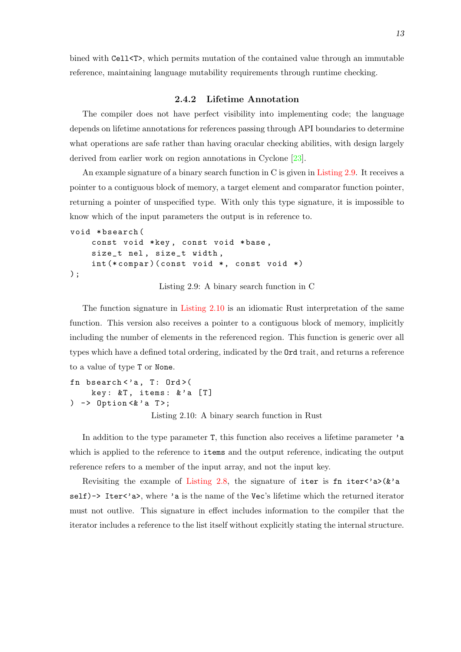bined with Cell<T>, which permits mutation of the contained value through an immutable reference, maintaining language mutability requirements through runtime checking.

#### **2.4.2 Lifetime Annotation**

<span id="page-20-0"></span>The compiler does not have perfect visibility into implementing code; the language depends on lifetime annotations for references passing through API boundaries to determine what operations are safe rather than having oracular checking abilities, with design largely derived from earlier work on region annotations in Cyclone [23].

An example signature of a binary search function in C is given in Listing 2.9. It receives a pointer to a contiguous block of memory, a target element and comparator function pointer, returning a pointer of unspecified type. With only this typ[e si](#page-68-5)gnature, it is impossible to know which of the input parameters the output is in reference to.

```
void * bsearch (
    const void *key, const void *base,
    size_t nel , size_t width ,
    int (* compar) (const void *, const void *)
) ;
```
Listing 2.9: A binary search function in C

The function signature in Listing 2.10 is an idiomatic Rust interpretation of the same function. This version also receives a pointer to a contiguous block of memory, implicitly including the number of elements in the referenced region. This function is generic over all types which have a defined tot[al ordering, i](#page-20-1)ndicated by the Ord trait, and returns a reference to a value of type T or None.

```
fn bsearch < 'a, T: Ord > (
     key: \&T, items: & a [T]) \rightarrow Option < a T>;
```
Listing 2.10: A binary search function in Rust

<span id="page-20-1"></span>In addition to the type parameter  $\mathsf{T}$ , this function also receives a lifetime parameter  $\mathsf{a}$ which is applied to the reference to items and the output reference, indicating the output reference refers to a member of the input array, and not the input key.

Revisiting the example of Listing 2.8, the signature of iter is fn iter<'a>>>>>>(&'a self)-> Iter<'a>, where 'a is the name of the Vec's lifetime which the returned iterator must not outlive. This signature in effect includes information to the compiler that the iterator includes a reference to t[he list itself](#page-19-0) without explicitly stating the internal structure.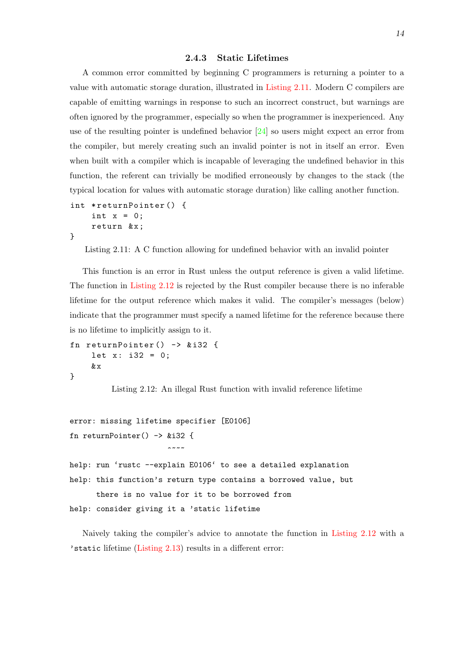#### **2.4.3 Static Lifetimes**

<span id="page-21-0"></span>A common error committed by beginning C programmers is returning a pointer to a value with automatic storage duration, illustrated in Listing 2.11. Modern C compilers are capable of emitting warnings in response to such an incorrect construct, but warnings are often ignored by the programmer, especially so when the programmer is inexperienced. Any use of the resulting pointer is undefined behavior [2[4\] so users m](#page-21-1)ight expect an error from the compiler, but merely creating such an invalid pointer is not in itself an error. Even when built with a compiler which is incapable of leveraging the undefined behavior in this function, the referent can trivially be modified er[ron](#page-68-6)eously by changes to the stack (the typical location for values with automatic storage duration) like calling another function.

```
int *returnPointer() {
    int x = 0;
    return &x;
}
```
<span id="page-21-1"></span>Listing 2.11: A C function allowing for undefined behavior with an invalid pointer

This function is an error in Rust unless the output reference is given a valid lifetime. The function in Listing 2.12 is rejected by the Rust compiler because there is no inferable lifetime for the output reference which makes it valid. The compiler's messages (below) indicate that the programmer must specify a named lifetime for the reference because there is no lifetime to [implicitly as](#page-21-2)sign to it.

```
fn returnPointer () -> & i32 {
    let x: i32 = 0;& x
}
```
Listing 2.12: An illegal Rust function with invalid reference lifetime

```
error: missing lifetime specifier [E0106]
fn returnPointer() -> &i32 {
                       \sim\sim\sim\simhelp: run 'rustc --explain E0106' to see a detailed explanation
help: this function's return type contains a borrowed value, but
      there is no value for it to be borrowed from
help: consider giving it a 'static lifetime
```
Naively taking the compiler's advice to annotate the function in Listing 2.12 with a 'static lifetime (Listing 2.13) results in a different error: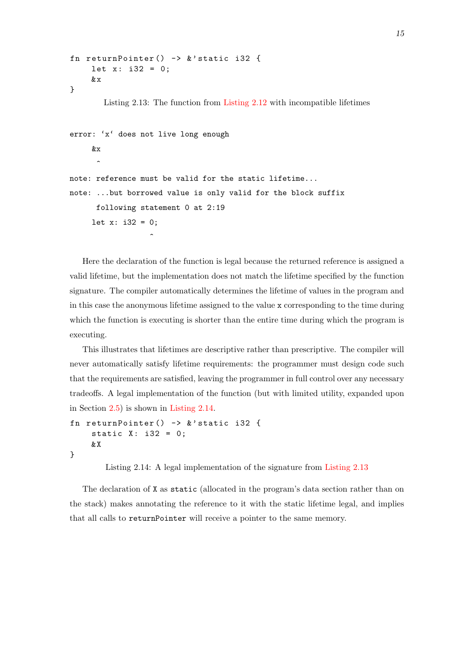```
fn returnPointer () -> & ' static i32 {
     let x: i32 = 0;& x
}
        Listing 2.13: The function from Listing 2.12 with incompatible lifetimes
error: 'x' does not live long enough
     &x
      \ddot{\phantom{1}}note: reference must be valid for the static lifetime...
note: ...but borrowed value is only valid for the block suffix
      following statement 0 at 2:19
     let x: i32 = 0;\hat{\phantom{a}}
```
Here the declaration of the function is legal because the returned reference is assigned a valid lifetime, but the implementation does not match the lifetime specified by the function signature. The compiler automatically determines the lifetime of values in the program and in this case the anonymous lifetime assigned to the value x corresponding to the time during which the function is executing is shorter than the entire time during which the program is executing.

This illustrates that lifetimes are descriptive rather than prescriptive. The compiler will never automatically satisfy lifetime requirements: the programmer must design code such that the requirements are satisfied, leaving the programmer in full control over any necessary tradeoffs. A legal implementation of the function (but with limited utility, expanded upon in Section 2.5) is shown in Listing 2.14.

```
fn returnPointer () -> & ' static i32 {
    static X: i32 = 0;& X
}
```
Listing 2.14: A legal implementation of the signature from Listing 2.13

<span id="page-22-1"></span>The declaration of X as static (allocated in the program's data section rather than on the stack) makes annotating the reference to it with the static lifeti[me legal, an](#page-22-0)d implies that all calls to returnPointer will receive a pointer to the same memory.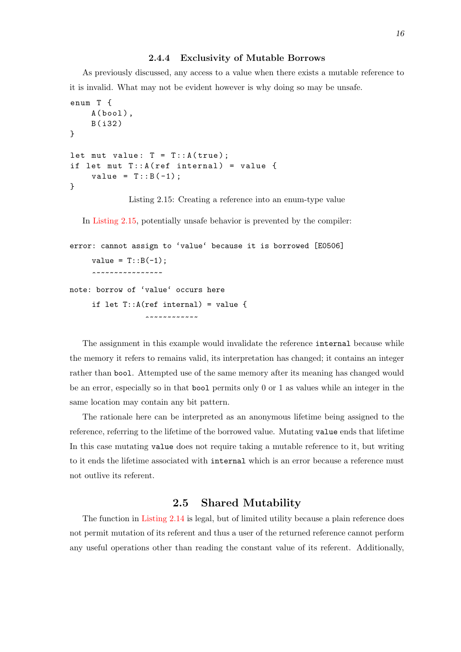#### **2.4.4 Exclusivity of Mutable Borrows**

As previously discussed, any access to a value when there exists a mutable reference to it is invalid. What may not be evident however is why doing so may be unsafe.

```
enum T {
    A(bool),
    B ( i32 )
}
let mut value: T = T :: A (true);
if let mut T : : A (ref internal) = value {
    value = T :: B(-1);
}
```
Listing 2.15: Creating a reference into an enum-type value

In Listing 2.15, potentially unsafe behavior is prevented by the compiler:

```
error: cannot assign to 'value' because it is borrowed [E0506]
     value = T::B(-1);***************
note: borrow of 'value' occurs here
     if let T::A(ref internal) = value {
                 ^~~~~~~~~~~~
```
The assignment in this example would invalidate the reference internal because while the memory it refers to remains valid, its interpretation has changed; it contains an integer rather than bool. Attempted use of the same memory after its meaning has changed would be an error, especially so in that bool permits only 0 or 1 as values while an integer in the same location may contain any bit pattern.

The rationale here can be interpreted as an anonymous lifetime being assigned to the reference, referring to the lifetime of the borrowed value. Mutating value ends that lifetime In this case mutating value does not require taking a mutable reference to it, but writing to it ends the lifetime associated with internal which is an error because a reference must not outlive its referent.

### **2.5 Shared Mutability**

<span id="page-23-1"></span>The function in Listing 2.14 is legal, but of limited utility because a plain reference does not permit mutation of its referent and thus a user of the returned reference cannot perform any useful operations other than reading the constant value of its referent. Additionally,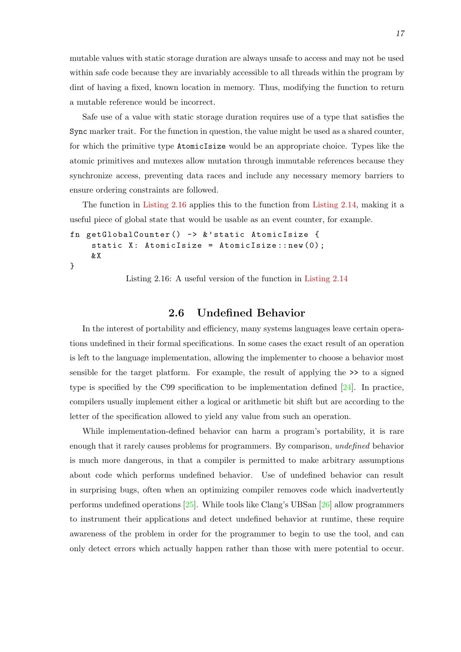mutable values with static storage duration are always unsafe to access and may not be used within safe code because they are invariably accessible to all threads within the program by dint of having a fixed, known location in memory. Thus, modifying the function to return a mutable reference would be incorrect.

Safe use of a value with static storage duration requires use of a type that satisfies the Sync marker trait. For the function in question, the value might be used as a shared counter, for which the primitive type AtomicIsize would be an appropriate choice. Types like the atomic primitives and mutexes allow mutation through immutable references because they synchronize access, preventing data races and include any necessary memory barriers to ensure ordering constraints are followed.

The function in Listing 2.16 applies this to the function from Listing 2.14, making it a useful piece of global state that would be usable as an event counter, for example.

```
fn getGlobalCounter () -> & ' static AtomicIsize {
    static X: AtomicIsize = AtomicIsize::new(0);
    & X
```

```
}
```
Listing 2.16: A useful version of the function in Listing 2.14

## **2.6 Undefined Behavio[r](#page-22-1)**

<span id="page-24-0"></span>In the interest of portability and efficiency, many systems languages leave certain operations undefined in their formal specifications. In some cases the exact result of an operation is left to the language implementation, allowing the implementer to choose a behavior most sensible for the target platform. For example, the result of applying the >> to a signed type is specified by the C99 specification to be implementation defined  $[24]$ . In practice, compilers usually implement either a logical or arithmetic bit shift but are according to the letter of the specification allowed to yield any value from such an operation.

While implementation-defined behavior can harm a program's port[abil](#page-68-6)ity, it is rare enough that it rarely causes problems for programmers. By comparison, *undefined* behavior is much more dangerous, in that a compiler is permitted to make arbitrary assumptions about code which performs undefined behavior. Use of undefined behavior can result in surprising bugs, often when an optimizing compiler removes code which inadvertently performs undefined operations [25]. While tools like Clang's UBSan [26] allow programmers to instrument their applications and detect undefined behavior at runtime, these require awareness of the problem in order for the programmer to begin to use the tool, and can only detect errors which actua[lly](#page-68-7) happen rather than those with m[ere](#page-68-8) potential to occur.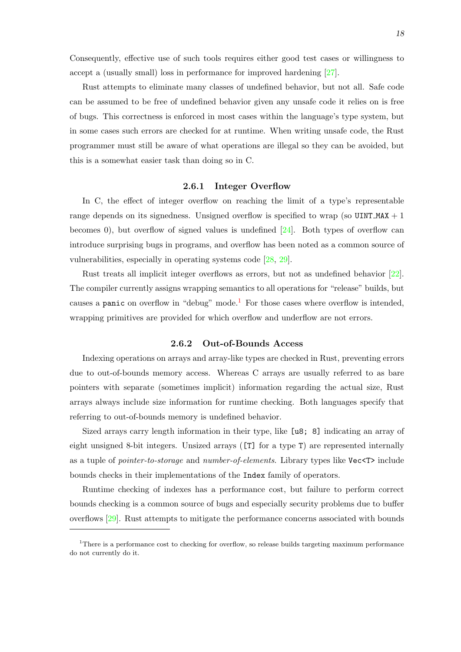Consequently, effective use of such tools requires either good test cases or willingness to accept a (usually small) loss in performance for improved hardening [27].

Rust attempts to eliminate many classes of undefined behavior, but not all. Safe code can be assumed to be free of undefined behavior given any unsafe code it relies on is free of bugs. This correctness is enforced in most cases within the langua[ge'](#page-68-9)s type system, but in some cases such errors are checked for at runtime. When writing unsafe code, the Rust programmer must still be aware of what operations are illegal so they can be avoided, but this is a somewhat easier task than doing so in C.

#### **2.6.1 Integer Overflow**

<span id="page-25-0"></span>In C, the effect of integer overflow on reaching the limit of a type's representable range depends on its signedness. Unsigned overflow is specified to wrap (so UINT\_MAX  $+1$ ) becomes 0), but overflow of signed values is undefined  $[24]$ . Both types of overflow can introduce surprising bugs in programs, and overflow has been noted as a common source of vulnerabilities, especially in operating systems code [28, 29].

Rust treats all implicit integer overflows as errors, bu[t n](#page-68-6)ot as undefined behavior [22]. The compiler currently assigns wrapping semantics to all operations for "release" builds, but causes a panic on overflow in "debug" mode.<sup>1</sup> For t[hos](#page-68-10)[e ca](#page-68-11)ses where overflow is intended, wrapping primitives are provided for which overflow and underflow are not errors.

#### **2.6.2 Out-of-[B](#page-25-1)ounds Access**

Indexing operations on arrays and array-like types are checked in Rust, preventing errors due to out-of-bounds memory access. Whereas C arrays are usually referred to as bare pointers with separate (sometimes implicit) information regarding the actual size, Rust arrays always include size information for runtime checking. Both languages specify that referring to out-of-bounds memory is undefined behavior.

Sized arrays carry length information in their type, like [u8; 8] indicating an array of eight unsigned 8-bit integers. Unsized arrays ([T] for a type T) are represented internally as a tuple of *pointer-to-storage* and *number-of-elements*. Library types like Vec<T> include bounds checks in their implementations of the Index family of operators.

Runtime checking of indexes has a performance cost, but failure to perform correct bounds checking is a common source of bugs and especially security problems due to buffer overflows [29]. Rust attempts to mitigate the performance concerns associated with bounds

<span id="page-25-1"></span><sup>&</sup>lt;sup>1</sup>There is a performance cost to checking for overflow, so release builds targeting maximum performance do not curr[entl](#page-68-11)y do it.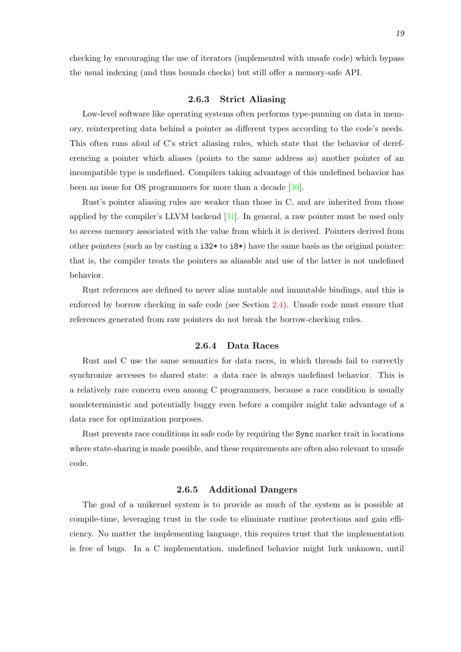checking by encouraging the use of iterators (implemented with unsafe code) which bypass the usual indexing (and thus bounds checks) but still offer a memory-safe API.

#### **2.6.3 Strict Aliasing**

<span id="page-26-0"></span>Low-level software like operating systems often performs type-punning on data in memory, reinterpreting data behind a pointer as different types according to the code's needs. This often runs afoul of C's strict aliasing rules, which state that the behavior of dereferencing a pointer which aliases (points to the same address as) another pointer of an incompatible type is undefined. Compilers taking advantage of this undefined behavior has been an issue for OS programmers for more than a decade [30].

Rust's pointer aliasing rules are weaker than those in C, and are inherited from those applied by the compiler's LLVM backend  $[31]$ . In general, a raw pointer must be used only to access memory associated with the value from which it is [de](#page-68-12)rived. Pointers derived from other pointers (such as by casting a i32\* to i8\*) have the same basis as the original pointer: that is, the compiler treats the pointers a[s a](#page-68-13)liasable and use of the latter is not undefined behavior.

Rust references are defined to never alias mutable and immutable bindings, and this is enforced by borrow checking in safe code (see Section 2.4). Unsafe code must ensure that references generated from raw pointers do not break the borrow-checking rules.

#### **2.6.4 Data Rac[es](#page-18-0)**

<span id="page-26-1"></span>Rust and C use the same semantics for data races, in which threads fail to correctly synchronize accesses to shared state: a data race is always undefined behavior. This is a relatively rare concern even among C programmers, because a race condition is usually nondeterministic and potentially buggy even before a compiler might take advantage of a data race for optimization purposes.

Rust prevents race conditions in safe code by requiring the Sync marker trait in locations where state-sharing is made possible, and these requirements are often also relevant to unsafe code.

#### **2.6.5 Additional Dangers**

<span id="page-26-2"></span>The goal of a unikernel system is to provide as much of the system as is possible at compile-time, leveraging trust in the code to eliminate runtime protections and gain efficiency. No matter the implementing language, this requires trust that the implementation is free of bugs. In a C implementation, undefined behavior might lurk unknown, until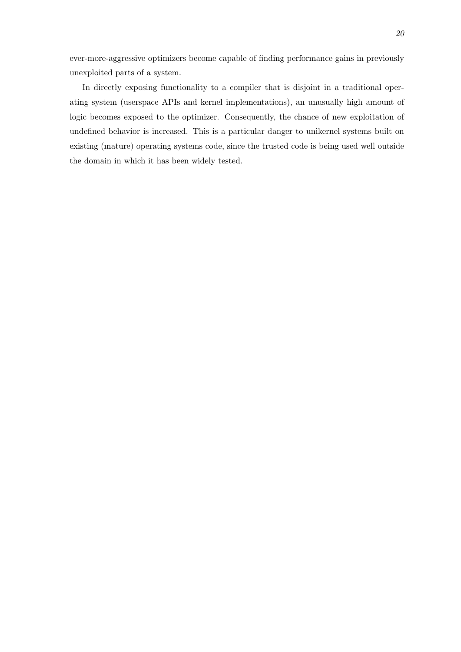ever-more-aggressive optimizers become capable of finding performance gains in previously unexploited parts of a system.

In directly exposing functionality to a compiler that is disjoint in a traditional operating system (userspace APIs and kernel implementations), an unusually high amount of logic becomes exposed to the optimizer. Consequently, the chance of new exploitation of undefined behavior is increased. This is a particular danger to unikernel systems built on existing (mature) operating systems code, since the trusted code is being used well outside the domain in which it has been widely tested.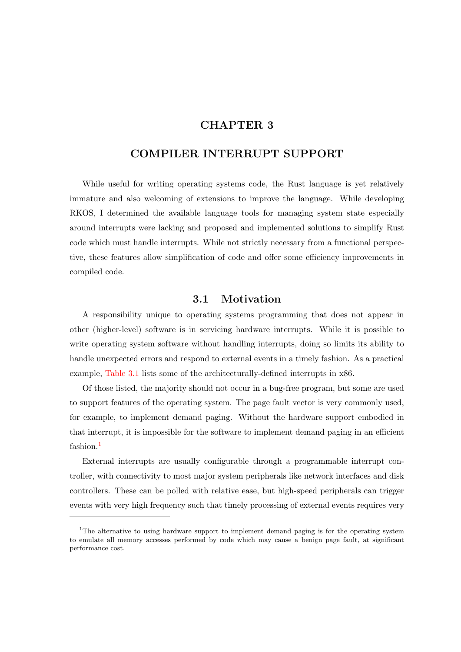## **CHAPTER 3**

### <span id="page-28-0"></span>**COMPILER INTERRUPT SUPPORT**

While useful for writing operating systems code, the Rust language is yet relatively immature and also welcoming of extensions to improve the language. While developing RKOS, I determined the available language tools for managing system state especially around interrupts were lacking and proposed and implemented solutions to simplify Rust code which must handle interrupts. While not strictly necessary from a functional perspective, these features allow simplification of code and offer some efficiency improvements in compiled code.

### **3.1 Motivation**

<span id="page-28-1"></span>A responsibility unique to operating systems programming that does not appear in other (higher-level) software is in servicing hardware interrupts. While it is possible to write operating system software without handling interrupts, doing so limits its ability to handle unexpected errors and respond to external events in a timely fashion. As a practical example, Table 3.1 lists some of the architecturally-defined interrupts in x86.

Of those listed, the majority should not occur in a bug-free program, but some are used to support features of the operating system. The page fault vector is very commonly used, for exam[ple, to im](#page-29-0)plement demand paging. Without the hardware support embodied in that interrupt, it is impossible for the software to implement demand paging in an efficient fashion.<sup>1</sup>

External interrupts are usually configurable through a programmable interrupt controller, with connectivity to most major system peripherals like network interfaces and disk controllers. These can be polled with relative ease, but high-speed peripherals can trigger events with very high frequency such that timely processing of external events requires very

<sup>&</sup>lt;sup>1</sup>The alternative to using hardware support to implement demand paging is for the operating system to emulate all memory accesses performed by code which may cause a benign page fault, at significant performance cost.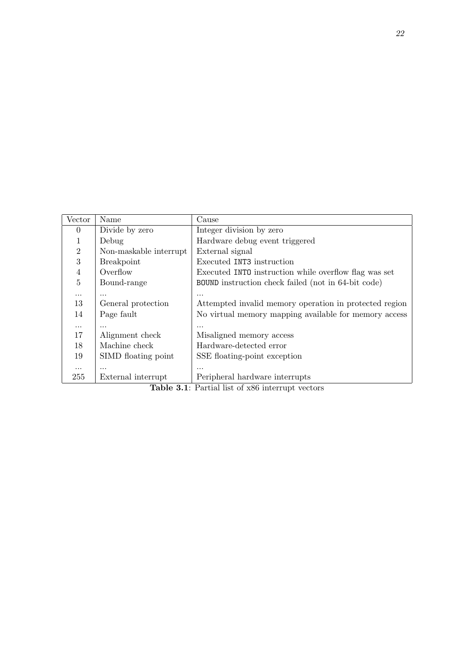<span id="page-29-0"></span>

| Vector         | Name                   | Cause                                                      |  |  |  |
|----------------|------------------------|------------------------------------------------------------|--|--|--|
| 0              | Divide by zero         | Integer division by zero                                   |  |  |  |
| 1              | Debug                  | Hardware debug event triggered                             |  |  |  |
| $\overline{2}$ | Non-maskable interrupt | External signal                                            |  |  |  |
| 3              | <b>Breakpoint</b>      | Executed INT3 instruction                                  |  |  |  |
| $\overline{4}$ | Overflow               | Executed INTO instruction while overflow flag was set      |  |  |  |
| 5              | Bound-range            | <b>BOUND</b> instruction check failed (not in 64-bit code) |  |  |  |
| $\cdots$       | .                      | .                                                          |  |  |  |
| 13             | General protection     | Attempted invalid memory operation in protected region     |  |  |  |
| 14             | Page fault             | No virtual memory mapping available for memory access      |  |  |  |
| $\cdots$       |                        |                                                            |  |  |  |
| 17             | Alignment check        | Misaligned memory access                                   |  |  |  |
| 18             | Machine check          | Hardware-detected error                                    |  |  |  |
| 19             | SIMD floating point    | SSE floating-point exception                               |  |  |  |
| $\cdots$       | .                      |                                                            |  |  |  |
| 255            | External interrupt     | Peripheral hardware interrupts                             |  |  |  |

**Table 3.1**: Partial list of x86 interrupt vectors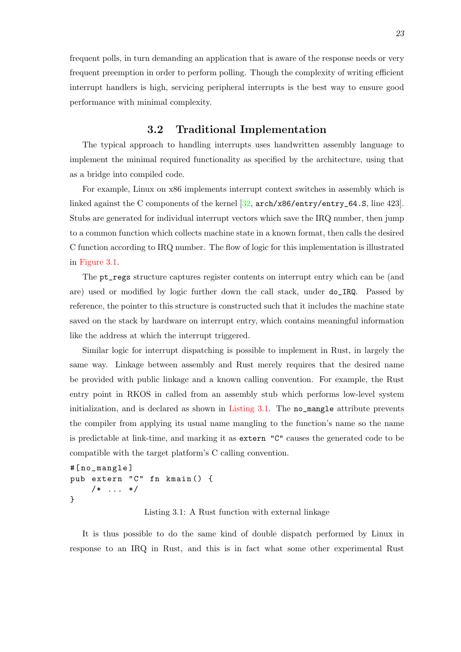frequent polls, in turn demanding an application that is aware of the response needs or very frequent preemption in order to perform polling. Though the complexity of writing efficient interrupt handlers is high, servicing peripheral interrupts is the best way to ensure good performance with minimal complexity.

## **3.2 Traditional Implementation**

<span id="page-30-0"></span>The typical approach to handling interrupts uses handwritten assembly language to implement the minimal required functionality as specified by the architecture, using that as a bridge into compiled code.

For example, Linux on x86 implements interrupt context switches in assembly which is linked against the C components of the kernel  $[32, \text{arch}/\text{xs6}/\text{entry}/\text{entry}\text{-}64.$  S, line 423]. Stubs are generated for individual interrupt vectors which save the IRQ number, then jump to a common function which collects machine state in a known format, then calls the desired C function according to IRQ number. The flow [of](#page-69-0) logic for this implementation is illustrated in Figure 3.1.

The pt\_regs structure captures register contents on interrupt entry which can be (and are) used or modified by logic further down the call stack, under do\_IRQ. Passed by ref[erence, the](#page-31-0) pointer to this structure is constructed such that it includes the machine state saved on the stack by hardware on interrupt entry, which contains meaningful information like the address at which the interrupt triggered.

Similar logic for interrupt dispatching is possible to implement in Rust, in largely the same way. Linkage between assembly and Rust merely requires that the desired name be provided with public linkage and a known calling convention. For example, the Rust entry point in RKOS in called from an assembly stub which performs low-level system initialization, and is declared as shown in Listing 3.1. The no\_mangle attribute prevents the compiler from applying its usual name mangling to the function's name so the name is predictable at link-time, and marking it as extern "C" causes the generated code to be compatible with the target platform's C ca[lling conven](#page-30-1)tion.

```
#[ no_mangle ]
pub extern "C" fn kmain () {
    /* ... */
}
```
Listing 3.1: A Rust function with external linkage

<span id="page-30-1"></span>It is thus possible to do the same kind of double dispatch performed by Linux in response to an IRQ in Rust, and this is in fact what some other experimental Rust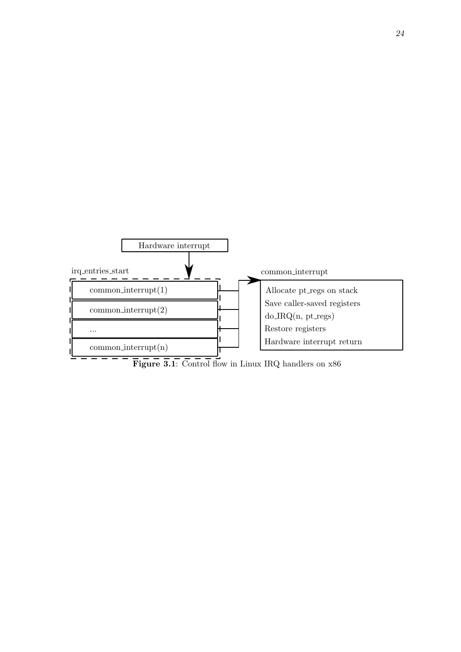<span id="page-31-0"></span>

**Figure 3.1**: Control flow in Linux IRQ handlers on x86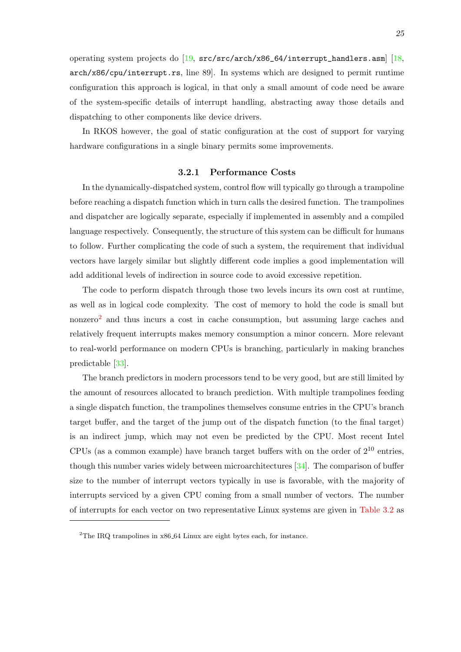operating system projects do [19, src/src/arch/x86\_64/interrupt\_handlers.asm] [18, arch/x86/cpu/interrupt.rs, line 89]. In systems which are designed to permit runtime configuration this approach is logical, in that only a small amount of code need be aware of the system-specific details [of](#page-68-14) interrupt handling, abstracting away those details [and](#page-68-15) dispatching to other components like device drivers.

In RKOS however, the goal of static configuration at the cost of support for varying hardware configurations in a single binary permits some improvements.

#### **3.2.1 Performance Costs**

<span id="page-32-0"></span>In the dynamically-dispatched system, control flow will typically go through a trampoline before reaching a dispatch function which in turn calls the desired function. The trampolines and dispatcher are logically separate, especially if implemented in assembly and a compiled language respectively. Consequently, the structure of this system can be difficult for humans to follow. Further complicating the code of such a system, the requirement that individual vectors have largely similar but slightly different code implies a good implementation will add additional levels of indirection in source code to avoid excessive repetition.

The code to perform dispatch through those two levels incurs its own cost at runtime, as well as in logical code complexity. The cost of memory to hold the code is small but nonzero<sup>2</sup> and thus incurs a cost in cache consumption, but assuming large caches and relatively frequent interrupts makes memory consumption a minor concern. More relevant to real-world performance on modern CPUs is branching, particularly in making branches predictable [33].

The branch predictors in modern processors tend to be very good, but are still limited by the amount of resources allocated to branch prediction. With multiple trampolines feeding a single disp[atc](#page-69-1)h function, the trampolines themselves consume entries in the CPU's branch target buffer, and the target of the jump out of the dispatch function (to the final target) is an indirect jump, which may not even be predicted by the CPU. Most recent Intel CPUs (as a common example) have branch target buffers with on the order of  $2^{10}$  entries, though this number varies widely between microarchitectures [34]. The comparison of buffer size to the number of interrupt vectors typically in use is favorable, with the majority of interrupts serviced by a given CPU coming from a small number of vectors. The number of interrupts for each vector on two representative Linux syst[em](#page-69-2)s are given in Table 3.2 as

<sup>&</sup>lt;sup>2</sup>The IRQ trampolines in x86<sub>-64</sub> Linux are eight bytes each, for instance.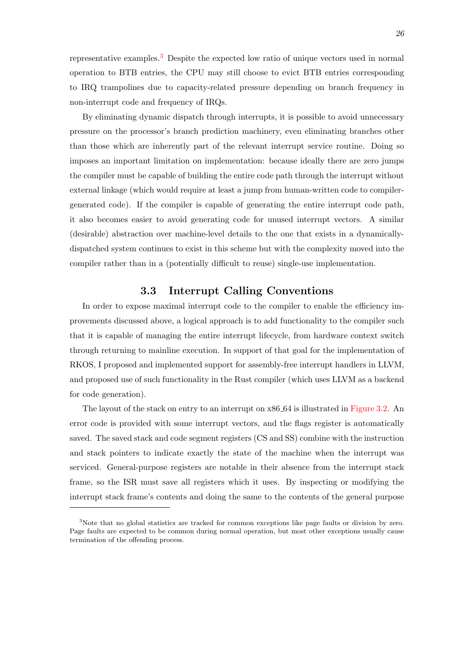representative examples.<sup>3</sup> Despite the expected low ratio of unique vectors used in normal operation to BTB entries, the CPU may still choose to evict BTB entries corresponding to IRQ trampolines due to capacity-related pressure depending on branch frequency in non-interrupt code and frequency of IRQs.

By eliminating dynamic dispatch through interrupts, it is possible to avoid unnecessary pressure on the processor's branch prediction machinery, even eliminating branches other than those which are inherently part of the relevant interrupt service routine. Doing so imposes an important limitation on implementation: because ideally there are zero jumps the compiler must be capable of building the entire code path through the interrupt without external linkage (which would require at least a jump from human-written code to compilergenerated code). If the compiler is capable of generating the entire interrupt code path, it also becomes easier to avoid generating code for unused interrupt vectors. A similar (desirable) abstraction over machine-level details to the one that exists in a dynamicallydispatched system continues to exist in this scheme but with the complexity moved into the compiler rather than in a (potentially difficult to reuse) single-use implementation.

## **3.3 Interrupt Calling Conventions**

<span id="page-33-0"></span>In order to expose maximal interrupt code to the compiler to enable the efficiency improvements discussed above, a logical approach is to add functionality to the compiler such that it is capable of managing the entire interrupt lifecycle, from hardware context switch through returning to mainline execution. In support of that goal for the implementation of RKOS, I proposed and implemented support for assembly-free interrupt handlers in LLVM, and proposed use of such functionality in the Rust compiler (which uses LLVM as a backend for code generation).

The layout of the stack on entry to an interrupt on x86 64 is illustrated in Figure 3.2. An error code is provided with some interrupt vectors, and the flags register is automatically saved. The saved stack and code segment registers (CS and SS) combine with the instruction and stack pointers to indicate exactly the state of the machine when the [interrupt](#page-35-0) was serviced. General-purpose registers are notable in their absence from the interrupt stack frame, so the ISR must save all registers which it uses. By inspecting or modifying the interrupt stack frame's contents and doing the same to the contents of the general purpose

<sup>&</sup>lt;sup>3</sup>Note that no global statistics are tracked for common exceptions like page faults or division by zero. Page faults are expected to be common during normal operation, but most other exceptions usually cause termination of the offending process.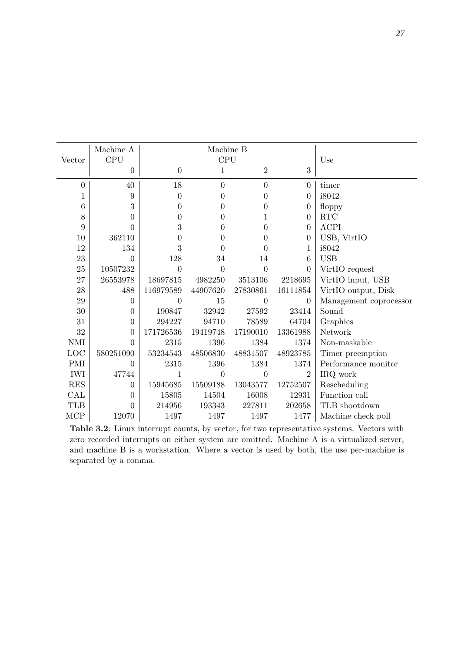|            | Machine A      |                  | Machine B        |                  |                  |                        |
|------------|----------------|------------------|------------------|------------------|------------------|------------------------|
| Vector     | <b>CPU</b>     | <b>CPU</b>       |                  |                  |                  | Use                    |
|            | $\overline{0}$ | $\boldsymbol{0}$ | 1                | $\overline{2}$   | 3                |                        |
| $\theta$   | 40             | 18               | $\boldsymbol{0}$ | $\overline{0}$   | $\overline{0}$   | timer                  |
| 1          | 9              | $\theta$         | $\theta$         | $\theta$         | $\theta$         | i8042                  |
| 6          | 3              | $\Omega$         | $\theta$         | 0                | $\boldsymbol{0}$ | floppy                 |
| 8          | $\theta$       | $\theta$         | $\theta$         | 1                | $\overline{0}$   | $\operatorname{RTC}$   |
| 9          | 0              | 3                | $\overline{0}$   | $\theta$         | $\overline{0}$   | <b>ACPI</b>            |
| 10         | 362110         | 0                | $\overline{0}$   | 0                | $\boldsymbol{0}$ | USB, VirtIO            |
| 12         | 134            | 3                | $\theta$         | 0                | 1                | i8042                  |
| 23         | $\Omega$       | 128              | 34               | 14               | 6                | <b>USB</b>             |
| 25         | 10507232       | $\overline{0}$   | $\overline{0}$   | $\overline{0}$   | $\overline{0}$   | VirtIO request         |
| 27         | 26553978       | 18697815         | 4982250          | 3513106          | 2218695          | VirtIO input, USB      |
| 28         | 488            | 116979589        | 44907620         | 27830861         | 16111854         | VirtIO output, Disk    |
| 29         | $\overline{0}$ | $\theta$         | 15               | $\overline{0}$   | $\theta$         | Management coprocessor |
| 30         | $\overline{0}$ | 190847           | 32942            | 27592            | 23414            | Sound                  |
| 31         | $\overline{0}$ | 294227           | 94710            | 78589            | 64704            | Graphics               |
| 32         | 0              | 171726536        | 19419748         | 17190010         | 13361988         | Network                |
| <b>NMI</b> | 0              | 2315             | 1396             | 1384             | 1374             | Non-maskable           |
| LOC        | 580251090      | 53234543         | 48506830         | 48831507         | 48923785         | Timer preemption       |
| <b>PMI</b> | $\theta$       | 2315             | 1396             | 1384             | 1374             | Performance monitor    |
| <b>IWI</b> | 47744          | 1                | $\overline{0}$   | $\boldsymbol{0}$ | $\overline{2}$   | IRQ work               |
| <b>RES</b> | $\overline{0}$ | 15945685         | 15509188         | 13043577         | 12752507         | Rescheduling           |
| CAL        | $\theta$       | 15805            | 14504            | 16008            | 12931            | Function call          |
| <b>TLB</b> | $\overline{0}$ | 214956           | 193343           | 227811           | 202658           | TLB shootdown          |
| <b>MCP</b> | 12070          | 1497             | 1497             | 1497             | 1477             | Machine check poll     |

Table 3.2: Linux interrupt counts, by vector, for two representative systems. Vectors with zero recorded interrupts on either system are omitted. Machine A is a virtualized server, and machine B is a workstation. Where a vector is used by both, the use per-machine is separated by a comma.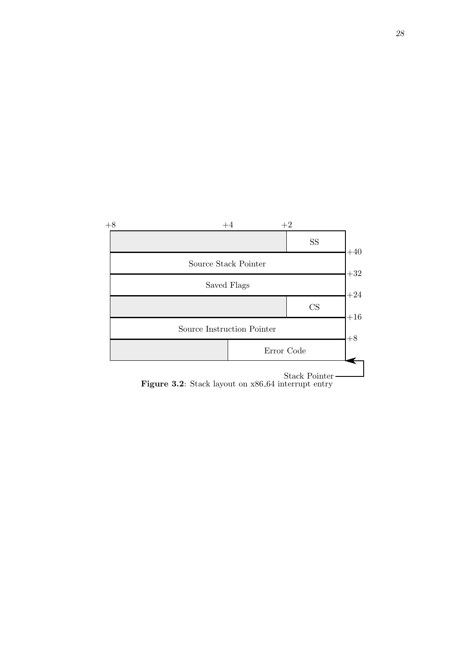<span id="page-35-0"></span>

Figure 3.2: Stack layout on  $x86.64$  interrupt entry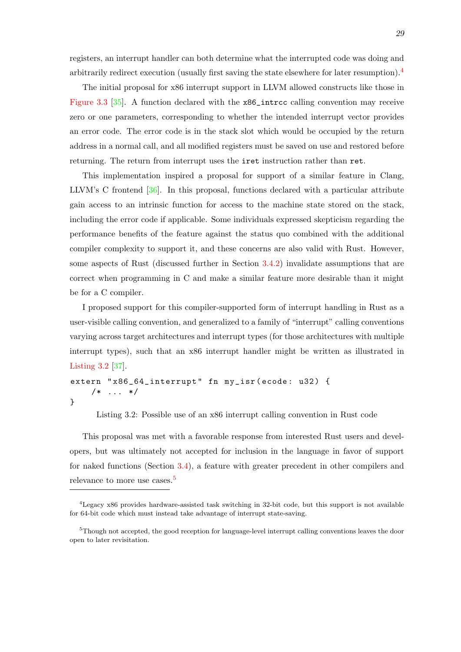registers, an interrupt handler can both determine what the interrupted code was doing and arbitrarily redirect execution (usually first saving the state elsewhere for later resumption).<sup>4</sup>

The initial proposal for x86 interrupt support in LLVM allowed constructs like those in Figure 3.3 [35]. A function declared with the x86\_intrcc calling convention may receive zero or one parameters, corresponding to whether the intended interrupt vector provides an error code. The error code is in the stack slot which would be occupied by the return [address in](#page-37-0) a [no](#page-69-3)rmal call, and all modified registers must be saved on use and restored before returning. The return from interrupt uses the iret instruction rather than ret.

This implementation inspired a proposal for support of a similar feature in Clang, LLVM's C frontend  $[36]$ . In this proposal, functions declared with a particular attribute gain access to an intrinsic function for access to the machine state stored on the stack, including the error code if applicable. Some individuals expressed skepticism regarding the performance benefits [of](#page-69-4) the feature against the status quo combined with the additional compiler complexity to support it, and these concerns are also valid with Rust. However, some aspects of Rust (discussed further in Section 3.4.2) invalidate assumptions that are correct when programming in C and make a similar feature more desirable than it might be for a C compiler.

I proposed support for this compiler-supported f[orm o](#page-39-0)f interrupt handling in Rust as a user-visible calling convention, and generalized to a family of "interrupt" calling conventions varying across target architectures and interrupt types (for those architectures with multiple interrupt types), such that an x86 interrupt handler might be written as illustrated in Listing 3.2 [37].

```
extern "x86_64_interrupt" fn my_isr (ecode: u32) {
    /* ... */
}
```
Listing 3.2: Possible use of an x86 interrupt calling convention in Rust code

<span id="page-36-0"></span>This proposal was met with a favorable response from interested Rust users and developers, but was ultimately not accepted for inclusion in the language in favor of support for naked functions (Section 3.4), a feature with greater precedent in other compilers and relevance to more use cases.<sup>5</sup>

<sup>4</sup>Legacy x86 provides hardwar[e-ass](#page-38-0)isted task switching in 32-bit code, but this support is not available for 64-bit code which must inste[ad](#page-36-1) take advantage of interrupt state-saving.

<span id="page-36-1"></span><sup>&</sup>lt;sup>5</sup>Though not accepted, the good reception for language-level interrupt calling conventions leaves the door open to later revisitation.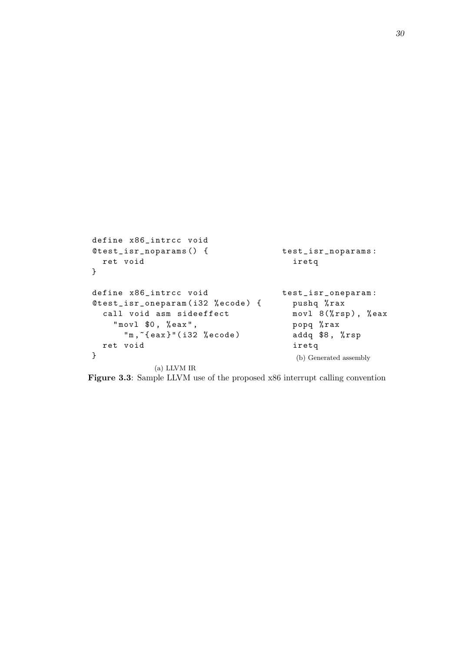```
define x86_intrcc void
@test_isr_noparams () {
  ret void
}
define x86_intrcc void
@test_isr_oneparam ( i32 % ecode ) {
  call void asm sideeffect
    " movl $0, % eax",
      'm, 'eax}'"(i32 % ecode)
  ret void
}
             (a) LLVM IR
                                       test_isr_noparams :
                                          iretq
                                       test_isr_oneparam :
                                         pushq % rax
                                         movl 8(%rsp), %eax
                                         popq % rax
                                         addq $8, %rsp
                                          iretq
                                          (b) Generated assembly
```
**Figure 3.3**: Sample LLVM use of the proposed x86 interrupt calling convention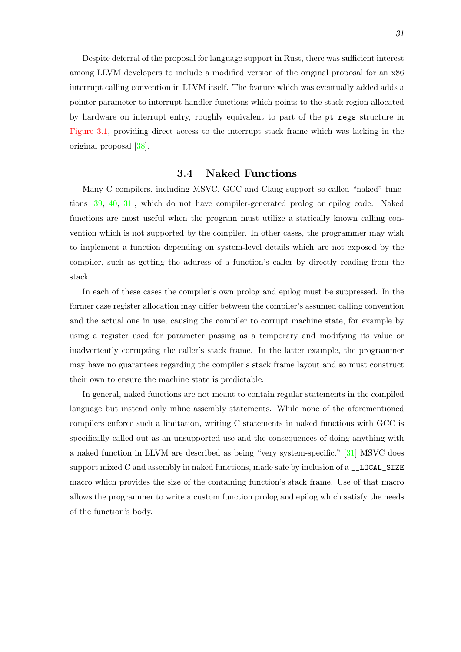Despite deferral of the proposal for language support in Rust, there was sufficient interest among LLVM developers to include a modified version of the original proposal for an x86 interrupt calling convention in LLVM itself. The feature which was eventually added adds a pointer parameter to interrupt handler functions which points to the stack region allocated by hardware on interrupt entry, roughly equivalent to part of the pt\_regs structure in Figure 3.1, providing direct access to the interrupt stack frame which was lacking in the original proposal [38].

### **3.4 Naked Functions**

<span id="page-38-0"></span>Many C comp[iler](#page-69-5)s, including MSVC, GCC and Clang support so-called "naked" functions [39, 40, 31], which do not have compiler-generated prolog or epilog code. Naked functions are most useful when the program must utilize a statically known calling convention which is not supported by the compiler. In other cases, the programmer may wish to im[plem](#page-69-6)[ent](#page-69-7) [a f](#page-68-13)unction depending on system-level details which are not exposed by the compiler, such as getting the address of a function's caller by directly reading from the stack.

In each of these cases the compiler's own prolog and epilog must be suppressed. In the former case register allocation may differ between the compiler's assumed calling convention and the actual one in use, causing the compiler to corrupt machine state, for example by using a register used for parameter passing as a temporary and modifying its value or inadvertently corrupting the caller's stack frame. In the latter example, the programmer may have no guarantees regarding the compiler's stack frame layout and so must construct their own to ensure the machine state is predictable.

In general, naked functions are not meant to contain regular statements in the compiled language but instead only inline assembly statements. While none of the aforementioned compilers enforce such a limitation, writing C statements in naked functions with GCC is specifically called out as an unsupported use and the consequences of doing anything with a naked function in LLVM are described as being "very system-specific." [31] MSVC does support mixed C and assembly in naked functions, made safe by inclusion of a \_\_LOCAL\_SIZE macro which provides the size of the containing function's stack frame. Use of that macro allows the programmer to write a custom function prolog and epilog which [sati](#page-68-13)sfy the needs of the function's body.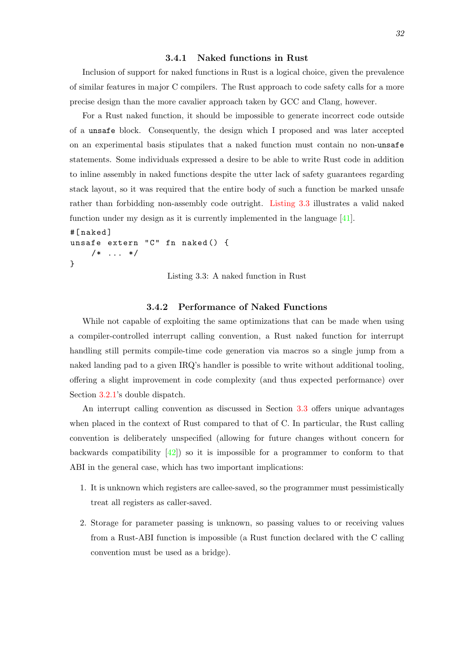#### **3.4.1 Naked functions in Rust**

Inclusion of support for naked functions in Rust is a logical choice, given the prevalence of similar features in major C compilers. The Rust approach to code safety calls for a more precise design than the more cavalier approach taken by GCC and Clang, however.

For a Rust naked function, it should be impossible to generate incorrect code outside of a unsafe block. Consequently, the design which I proposed and was later accepted on an experimental basis stipulates that a naked function must contain no non-unsafe statements. Some individuals expressed a desire to be able to write Rust code in addition to inline assembly in naked functions despite the utter lack of safety guarantees regarding stack layout, so it was required that the entire body of such a function be marked unsafe rather than forbidding non-assembly code outright. Listing 3.3 illustrates a valid naked function under my design as it is currently implemented in the language [41].

```
#[ naked ]
unsafe extern "C" fn naked () {
    /* \dots */}
```
Listing 3.3: A naked function in Rust

### **3.4.2 Performance of Naked Functions**

<span id="page-39-0"></span>While not capable of exploiting the same optimizations that can be made when using a compiler-controlled interrupt calling convention, a Rust naked function for interrupt handling still permits compile-time code generation via macros so a single jump from a naked landing pad to a given IRQ's handler is possible to write without additional tooling, offering a slight improvement in code complexity (and thus expected performance) over Section  $3.2.1$ 's double dispatch.

An interrupt calling convention as discussed in Section 3.3 offers unique advantages when placed in the context of Rust compared to that of C. In particular, the Rust calling convent[ion is](#page-32-0) deliberately unspecified (allowing for future changes without concern for backwards compatibility  $[42]$ ) so it is impossible for a pro[gram](#page-33-0)mer to conform to that ABI in the general case, which has two important implications:

- 1. It is unknown which [reg](#page-69-8)isters are callee-saved, so the programmer must pessimistically treat all registers as caller-saved.
- 2. Storage for parameter passing is unknown, so passing values to or receiving values from a Rust-ABI function is impossible (a Rust function declared with the C calling convention must be used as a bridge).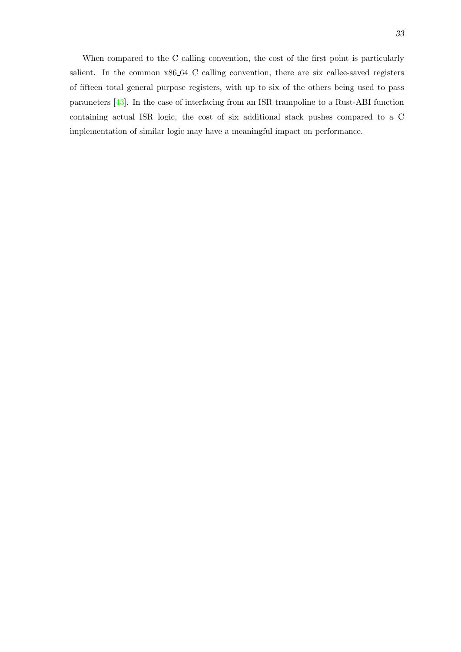When compared to the C calling convention, the cost of the first point is particularly salient. In the common x86 64 C calling convention, there are six callee-saved registers of fifteen total general purpose registers, with up to six of the others being used to pass parameters [43]. In the case of interfacing from an ISR trampoline to a Rust-ABI function containing actual ISR logic, the cost of six additional stack pushes compared to a C implementation of similar logic may have a meaningful impact on performance.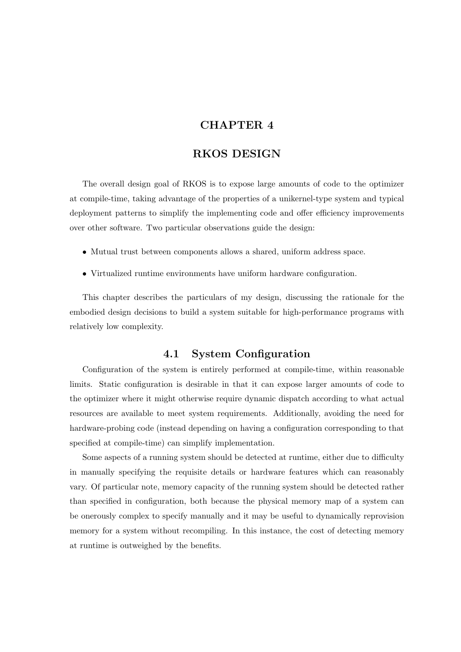## **CHAPTER 4**

## **RKOS DESIGN**

<span id="page-41-0"></span>The overall design goal of RKOS is to expose large amounts of code to the optimizer at compile-time, taking advantage of the properties of a unikernel-type system and typical deployment patterns to simplify the implementing code and offer efficiency improvements over other software. Two particular observations guide the design:

- Mutual trust between components allows a shared, uniform address space.
- Virtualized runtime environments have uniform hardware configuration.

This chapter describes the particulars of my design, discussing the rationale for the embodied design decisions to build a system suitable for high-performance programs with relatively low complexity.

### **4.1 System Configuration**

<span id="page-41-1"></span>Configuration of the system is entirely performed at compile-time, within reasonable limits. Static configuration is desirable in that it can expose larger amounts of code to the optimizer where it might otherwise require dynamic dispatch according to what actual resources are available to meet system requirements. Additionally, avoiding the need for hardware-probing code (instead depending on having a configuration corresponding to that specified at compile-time) can simplify implementation.

Some aspects of a running system should be detected at runtime, either due to difficulty in manually specifying the requisite details or hardware features which can reasonably vary. Of particular note, memory capacity of the running system should be detected rather than specified in configuration, both because the physical memory map of a system can be onerously complex to specify manually and it may be useful to dynamically reprovision memory for a system without recompiling. In this instance, the cost of detecting memory at runtime is outweighed by the benefits.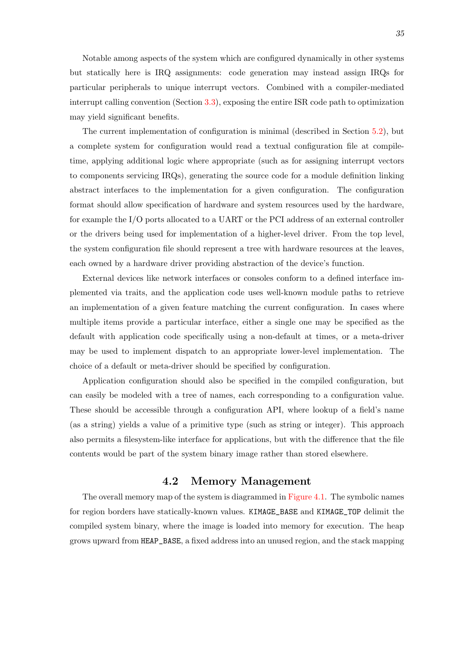Notable among aspects of the system which are configured dynamically in other systems but statically here is IRQ assignments: code generation may instead assign IRQs for particular peripherals to unique interrupt vectors. Combined with a compiler-mediated interrupt calling convention (Section 3.3), exposing the entire ISR code path to optimization may yield significant benefits.

The current implementation of configuration is minimal (described in Section 5.2), but a complete system for configuratio[n w](#page-33-0)ould read a textual configuration file at compiletime, applying additional logic where appropriate (such as for assigning interrupt vectors to components servicing IRQs), generating the source code for a module definitio[n li](#page-52-1)nking abstract interfaces to the implementation for a given configuration. The configuration format should allow specification of hardware and system resources used by the hardware, for example the I/O ports allocated to a UART or the PCI address of an external controller or the drivers being used for implementation of a higher-level driver. From the top level, the system configuration file should represent a tree with hardware resources at the leaves, each owned by a hardware driver providing abstraction of the device's function.

External devices like network interfaces or consoles conform to a defined interface implemented via traits, and the application code uses well-known module paths to retrieve an implementation of a given feature matching the current configuration. In cases where multiple items provide a particular interface, either a single one may be specified as the default with application code specifically using a non-default at times, or a meta-driver may be used to implement dispatch to an appropriate lower-level implementation. The choice of a default or meta-driver should be specified by configuration.

Application configuration should also be specified in the compiled configuration, but can easily be modeled with a tree of names, each corresponding to a configuration value. These should be accessible through a configuration API, where lookup of a field's name (as a string) yields a value of a primitive type (such as string or integer). This approach also permits a filesystem-like interface for applications, but with the difference that the file contents would be part of the system binary image rather than stored elsewhere.

### **4.2 Memory Management**

<span id="page-42-0"></span>The overall memory map of the system is diagrammed in Figure 4.1. The symbolic names for region borders have statically-known values. KIMAGE\_BASE and KIMAGE\_TOP delimit the compiled system binary, where the image is loaded into memory for execution. The heap grows upward from HEAP\_BASE, a fixed address into an unus[ed region, a](#page-44-0)nd the stack mapping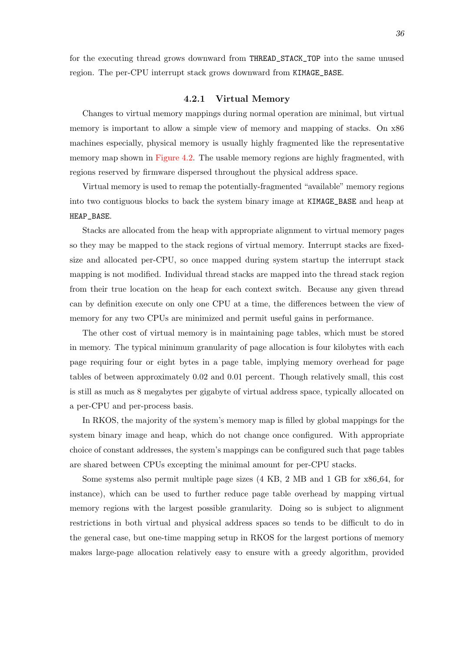for the executing thread grows downward from THREAD\_STACK\_TOP into the same unused region. The per-CPU interrupt stack grows downward from KIMAGE\_BASE.

#### **4.2.1 Virtual Memory**

<span id="page-43-0"></span>Changes to virtual memory mappings during normal operation are minimal, but virtual memory is important to allow a simple view of memory and mapping of stacks. On x86 machines especially, physical memory is usually highly fragmented like the representative memory map shown in Figure 4.2. The usable memory regions are highly fragmented, with regions reserved by firmware dispersed throughout the physical address space.

Virtual memory is used to remap the potentially-fragmented "available" memory regions into two contiguous bl[ocks to bac](#page-44-1)k the system binary image at KIMAGE\_BASE and heap at HEAP\_BASE.

Stacks are allocated from the heap with appropriate alignment to virtual memory pages so they may be mapped to the stack regions of virtual memory. Interrupt stacks are fixedsize and allocated per-CPU, so once mapped during system startup the interrupt stack mapping is not modified. Individual thread stacks are mapped into the thread stack region from their true location on the heap for each context switch. Because any given thread can by definition execute on only one CPU at a time, the differences between the view of memory for any two CPUs are minimized and permit useful gains in performance.

The other cost of virtual memory is in maintaining page tables, which must be stored in memory. The typical minimum granularity of page allocation is four kilobytes with each page requiring four or eight bytes in a page table, implying memory overhead for page tables of between approximately 0.02 and 0.01 percent. Though relatively small, this cost is still as much as 8 megabytes per gigabyte of virtual address space, typically allocated on a per-CPU and per-process basis.

In RKOS, the majority of the system's memory map is filled by global mappings for the system binary image and heap, which do not change once configured. With appropriate choice of constant addresses, the system's mappings can be configured such that page tables are shared between CPUs excepting the minimal amount for per-CPU stacks.

Some systems also permit multiple page sizes (4 KB, 2 MB and 1 GB for x86 64, for instance), which can be used to further reduce page table overhead by mapping virtual memory regions with the largest possible granularity. Doing so is subject to alignment restrictions in both virtual and physical address spaces so tends to be difficult to do in the general case, but one-time mapping setup in RKOS for the largest portions of memory makes large-page allocation relatively easy to ensure with a greedy algorithm, provided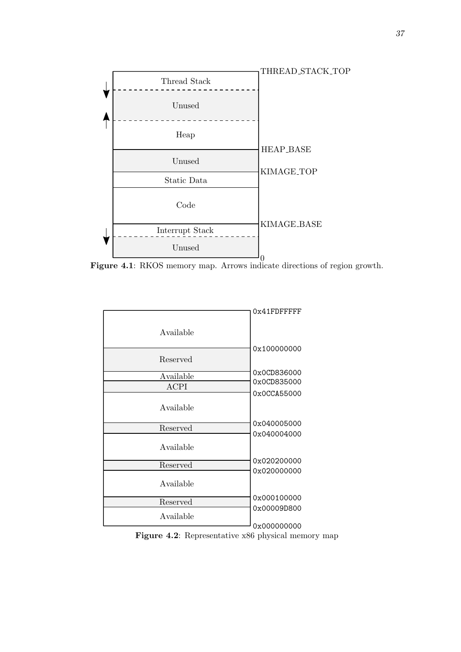<span id="page-44-0"></span>

**Figure 4.1**: RKOS memory map. Arrows indicate directions of region growth.

<span id="page-44-1"></span>

**Figure 4.2**: Representative x86 physical memory map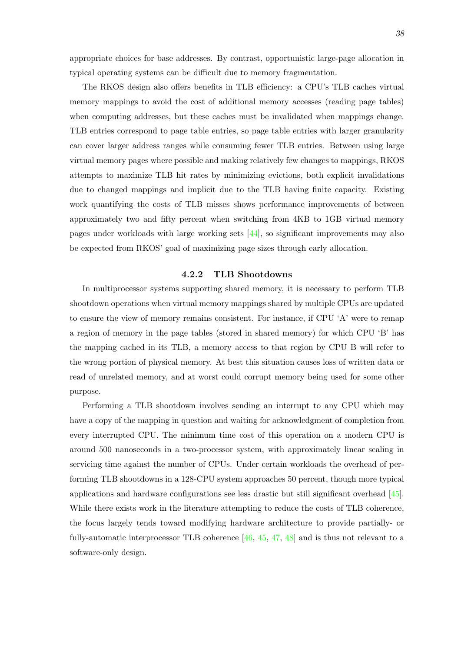appropriate choices for base addresses. By contrast, opportunistic large-page allocation in typical operating systems can be difficult due to memory fragmentation.

The RKOS design also offers benefits in TLB efficiency: a CPU's TLB caches virtual memory mappings to avoid the cost of additional memory accesses (reading page tables) when computing addresses, but these caches must be invalidated when mappings change. TLB entries correspond to page table entries, so page table entries with larger granularity can cover larger address ranges while consuming fewer TLB entries. Between using large virtual memory pages where possible and making relatively few changes to mappings, RKOS attempts to maximize TLB hit rates by minimizing evictions, both explicit invalidations due to changed mappings and implicit due to the TLB having finite capacity. Existing work quantifying the costs of TLB misses shows performance improvements of between approximately two and fifty percent when switching from 4KB to 1GB virtual memory pages under workloads with large working sets [44], so significant improvements may also be expected from RKOS' goal of maximizing page sizes through early allocation.

### **4.2.2 TLB S[hoo](#page-69-9)tdowns**

<span id="page-45-0"></span>In multiprocessor systems supporting shared memory, it is necessary to perform TLB shootdown operations when virtual memory mappings shared by multiple CPUs are updated to ensure the view of memory remains consistent. For instance, if CPU 'A' were to remap a region of memory in the page tables (stored in shared memory) for which CPU 'B' has the mapping cached in its TLB, a memory access to that region by CPU B will refer to the wrong portion of physical memory. At best this situation causes loss of written data or read of unrelated memory, and at worst could corrupt memory being used for some other purpose.

Performing a TLB shootdown involves sending an interrupt to any CPU which may have a copy of the mapping in question and waiting for acknowledgment of completion from every interrupted CPU. The minimum time cost of this operation on a modern CPU is around 500 nanoseconds in a two-processor system, with approximately linear scaling in servicing time against the number of CPUs. Under certain workloads the overhead of performing TLB shootdowns in a 128-CPU system approaches 50 percent, though more typical applications and hardware configurations see less drastic but still significant overhead [45]. While there exists work in the literature attempting to reduce the costs of TLB coherence, the focus largely tends toward modifying hardware architecture to provide partially- or fully-au[to](#page-69-10)matic interprocessor TLB coherence  $[46, 45, 47, 48]$  and is thus not relevant to a software-only design.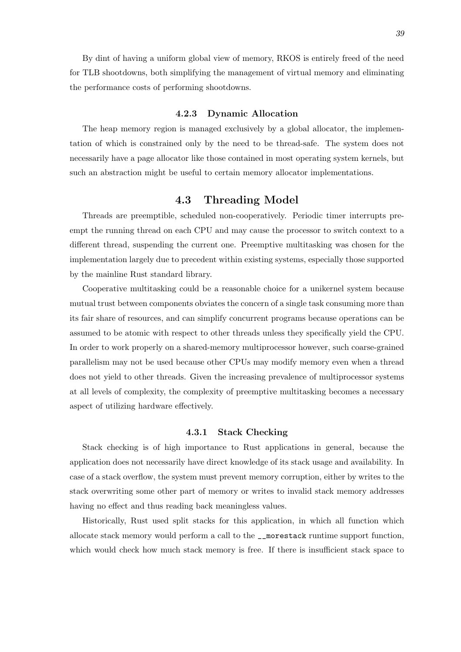By dint of having a uniform global view of memory, RKOS is entirely freed of the need for TLB shootdowns, both simplifying the management of virtual memory and eliminating the performance costs of performing shootdowns.

#### **4.2.3 Dynamic Allocation**

<span id="page-46-0"></span>The heap memory region is managed exclusively by a global allocator, the implementation of which is constrained only by the need to be thread-safe. The system does not necessarily have a page allocator like those contained in most operating system kernels, but such an abstraction might be useful to certain memory allocator implementations.

## **4.3 Threading Model**

<span id="page-46-1"></span>Threads are preemptible, scheduled non-cooperatively. Periodic timer interrupts preempt the running thread on each CPU and may cause the processor to switch context to a different thread, suspending the current one. Preemptive multitasking was chosen for the implementation largely due to precedent within existing systems, especially those supported by the mainline Rust standard library.

Cooperative multitasking could be a reasonable choice for a unikernel system because mutual trust between components obviates the concern of a single task consuming more than its fair share of resources, and can simplify concurrent programs because operations can be assumed to be atomic with respect to other threads unless they specifically yield the CPU. In order to work properly on a shared-memory multiprocessor however, such coarse-grained parallelism may not be used because other CPUs may modify memory even when a thread does not yield to other threads. Given the increasing prevalence of multiprocessor systems at all levels of complexity, the complexity of preemptive multitasking becomes a necessary aspect of utilizing hardware effectively.

#### **4.3.1 Stack Checking**

<span id="page-46-2"></span>Stack checking is of high importance to Rust applications in general, because the application does not necessarily have direct knowledge of its stack usage and availability. In case of a stack overflow, the system must prevent memory corruption, either by writes to the stack overwriting some other part of memory or writes to invalid stack memory addresses having no effect and thus reading back meaningless values.

Historically, Rust used split stacks for this application, in which all function which allocate stack memory would perform a call to the \_\_morestack runtime support function, which would check how much stack memory is free. If there is insufficient stack space to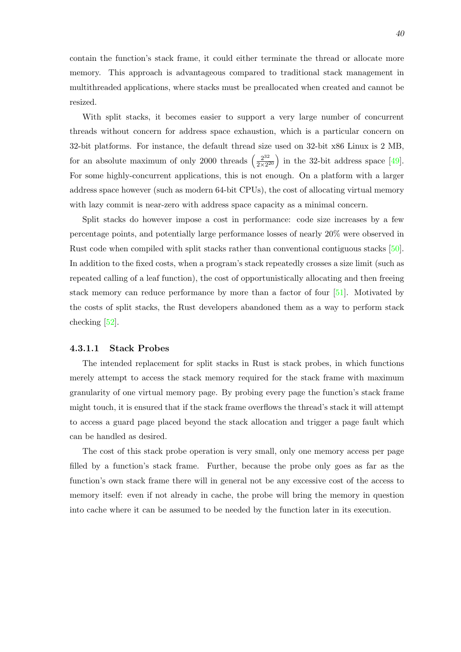contain the function's stack frame, it could either terminate the thread or allocate more memory. This approach is advantageous compared to traditional stack management in multithreaded applications, where stacks must be preallocated when created and cannot be resized.

With split stacks, it becomes easier to support a very large number of concurrent threads without concern for address space exhaustion, which is a particular concern on 32-bit platforms. For instance, the default thread size used on 32-bit x86 Linux is 2 MB, for an absolute maximum of only 2000 threads  $\left(\frac{2^{32}}{2\times2^{3}}\right)$  $\left(\frac{2^{32}}{2 \times 2^{20}}\right)$  in the 32-bit address space [49]. For some highly-concurrent applications, this is not enough. On a platform with a larger address space however (such as modern 64-bit CPUs), the cost of allocating virtual memory with lazy commit is near-zero with address space capacity as a minimal concern.

Split stacks do however impose a cost in performance: code size increases by a few percentage points, and potentially large performance losses of nearly 20% were observed in Rust code when compiled with split stacks rather than conventional contiguous stacks [50]. In addition to the fixed costs, when a program's stack repeatedly crosses a size limit (such as repeated calling of a leaf function), the cost of opportunistically allocating and then freeing stack memory can reduce performance by more than a factor of four [51]. Motivate[d b](#page-70-0)y the costs of split stacks, the Rust developers abandoned them as a way to perform stack checking [52].

#### **4.3.1.1 Stack Probes**

The i[nten](#page-70-1)ded replacement for split stacks in Rust is stack probes, in which functions merely attempt to access the stack memory required for the stack frame with maximum granularity of one virtual memory page. By probing every page the function's stack frame might touch, it is ensured that if the stack frame overflows the thread's stack it will attempt to access a guard page placed beyond the stack allocation and trigger a page fault which can be handled as desired.

<span id="page-47-0"></span>The cost of this stack probe operation is very small, only one memory access per page filled by a function's stack frame. Further, because the probe only goes as far as the function's own stack frame there will in general not be any excessive cost of the access to memory itself: even if not already in cache, the probe will bring the memory in question into cache where it can be assumed to be needed by the function later in its execution.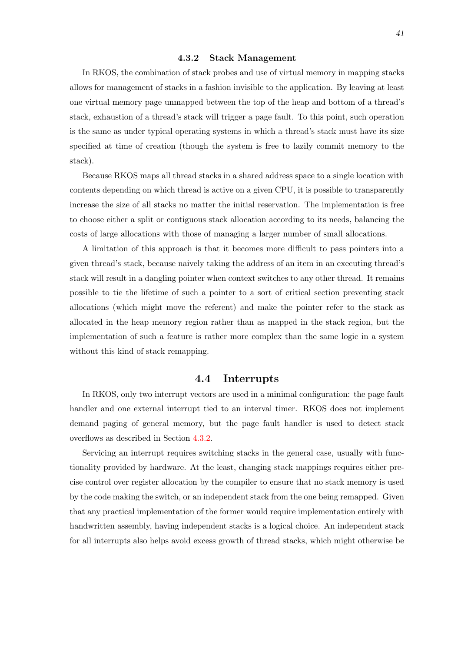#### **4.3.2 Stack Management**

In RKOS, the combination of stack probes and use of virtual memory in mapping stacks allows for management of stacks in a fashion invisible to the application. By leaving at least one virtual memory page unmapped between the top of the heap and bottom of a thread's stack, exhaustion of a thread's stack will trigger a page fault. To this point, such operation is the same as under typical operating systems in which a thread's stack must have its size specified at time of creation (though the system is free to lazily commit memory to the stack).

Because RKOS maps all thread stacks in a shared address space to a single location with contents depending on which thread is active on a given CPU, it is possible to transparently increase the size of all stacks no matter the initial reservation. The implementation is free to choose either a split or contiguous stack allocation according to its needs, balancing the costs of large allocations with those of managing a larger number of small allocations.

A limitation of this approach is that it becomes more difficult to pass pointers into a given thread's stack, because naively taking the address of an item in an executing thread's stack will result in a dangling pointer when context switches to any other thread. It remains possible to tie the lifetime of such a pointer to a sort of critical section preventing stack allocations (which might move the referent) and make the pointer refer to the stack as allocated in the heap memory region rather than as mapped in the stack region, but the implementation of such a feature is rather more complex than the same logic in a system without this kind of stack remapping.

### **4.4 Interrupts**

<span id="page-48-0"></span>In RKOS, only two interrupt vectors are used in a minimal configuration: the page fault handler and one external interrupt tied to an interval timer. RKOS does not implement demand paging of general memory, but the page fault handler is used to detect stack overflows as described in Section 4.3.2.

Servicing an interrupt requires switching stacks in the general case, usually with functionality provided by hardware. At the least, changing stack mappings requires either precise control over register allocatio[n by](#page-47-0) the compiler to ensure that no stack memory is used by the code making the switch, or an independent stack from the one being remapped. Given that any practical implementation of the former would require implementation entirely with handwritten assembly, having independent stacks is a logical choice. An independent stack for all interrupts also helps avoid excess growth of thread stacks, which might otherwise be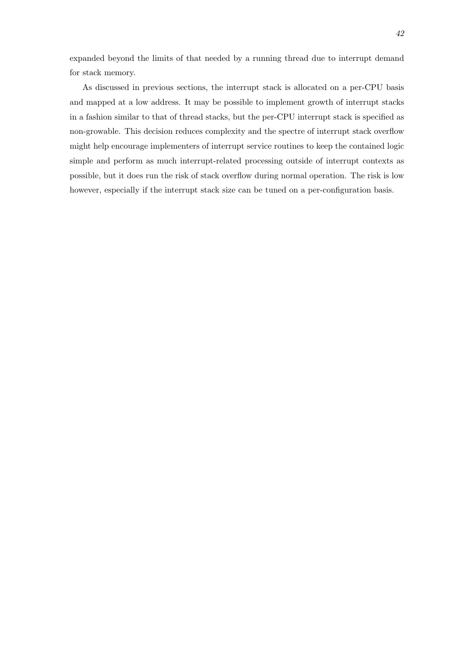expanded beyond the limits of that needed by a running thread due to interrupt demand for stack memory.

As discussed in previous sections, the interrupt stack is allocated on a per-CPU basis and mapped at a low address. It may be possible to implement growth of interrupt stacks in a fashion similar to that of thread stacks, but the per-CPU interrupt stack is specified as non-growable. This decision reduces complexity and the spectre of interrupt stack overflow might help encourage implementers of interrupt service routines to keep the contained logic simple and perform as much interrupt-related processing outside of interrupt contexts as possible, but it does run the risk of stack overflow during normal operation. The risk is low however, especially if the interrupt stack size can be tuned on a per-configuration basis.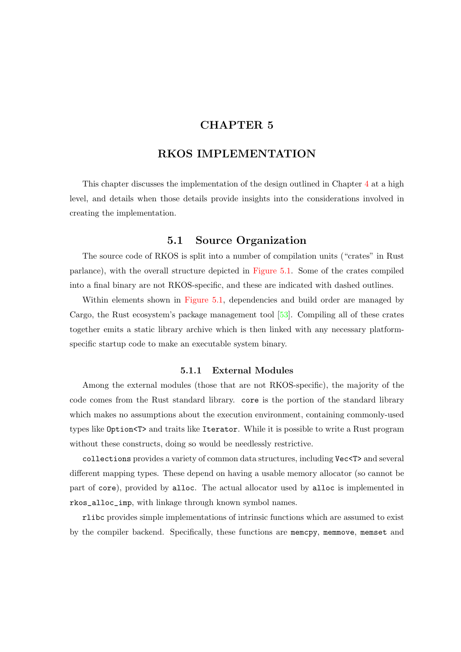## **CHAPTER 5**

## **RKOS IMPLEMENTATION**

<span id="page-50-0"></span>This chapter discusses the implementation of the design outlined in Chapter 4 at a high level, and details when those details provide insights into the considerations involved in creating the implementation.

### **5.1 Source Organization**

<span id="page-50-1"></span>The source code of RKOS is split into a number of compilation units ("crates" in Rust parlance), with the overall structure depicted in Figure 5.1. Some of the crates compiled into a final binary are not RKOS-specific, and these are indicated with dashed outlines.

Within elements shown in Figure 5.1, dependencies and build order are managed by Cargo, the Rust ecosystem's package manageme[nt tool \[53\].](#page-51-0) Compiling all of these crates together emits a static library archive which is then linked with any necessary platformspecific startup code to make a[n executab](#page-51-0)le system binary.

#### **5.1.1 External Modules**

<span id="page-50-2"></span>Among the external modules (those that are not RKOS-specific), the majority of the code comes from the Rust standard library. core is the portion of the standard library which makes no assumptions about the execution environment, containing commonly-used types like Option<T> and traits like Iterator. While it is possible to write a Rust program without these constructs, doing so would be needlessly restrictive.

collections provides a variety of common data structures, including Vec<T> and several different mapping types. These depend on having a usable memory allocator (so cannot be part of core), provided by alloc. The actual allocator used by alloc is implemented in rkos\_alloc\_imp, with linkage through known symbol names.

rlibc provides simple implementations of intrinsic functions which are assumed to exist by the compiler backend. Specifically, these functions are memcpy, memmove, memset and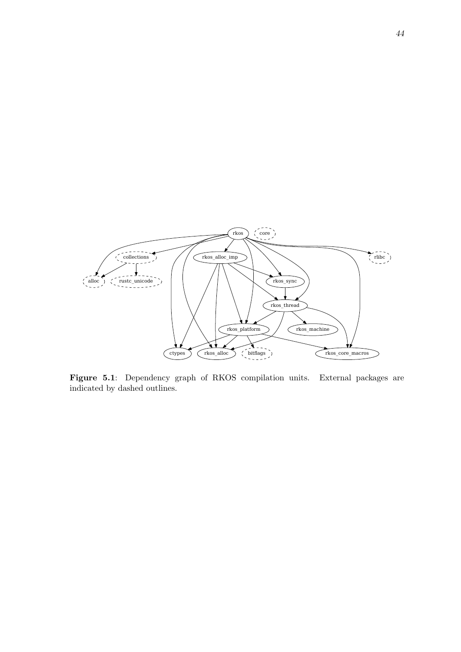<span id="page-51-0"></span>

**Figure 5.1**: Dependency graph of RKOS compilation units. External packages are indicated by dashed outlines.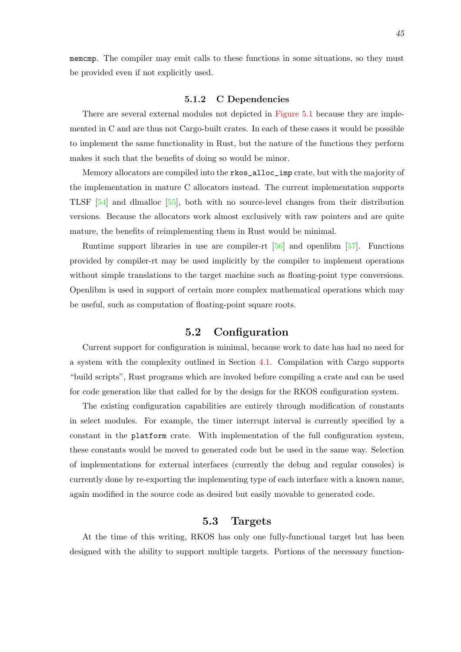memcmp. The compiler may emit calls to these functions in some situations, so they must be provided even if not explicitly used.

#### **5.1.2 C Dependencies**

<span id="page-52-0"></span>There are several external modules not depicted in Figure 5.1 because they are implemented in C and are thus not Cargo-built crates. In each of these cases it would be possible to implement the same functionality in Rust, but the nature of the functions they perform makes it such that the benefits of doing so would be m[inor.](#page-51-0)

Memory allocators are compiled into the rkos\_alloc\_imp crate, but with the majority of the implementation in mature C allocators instead. The current implementation supports TLSF [54] and dlmalloc [55], both with no source-level changes from their distribution versions. Because the allocators work almost exclusively with raw pointers and are quite mature, the benefits of reimplementing them in Rust would be minimal.

Ru[ntim](#page-70-2)e support libr[arie](#page-70-3)s in use are compiler-rt [56] and openlibm [57]. Functions provided by compiler-rt may be used implicitly by the compiler to implement operations without simple translations to the target machine such as floating-point type conversions. Openlibm is used in support of certain more complex [mat](#page-70-4)hematical operat[ion](#page-70-5)s which may be useful, such as computation of floating-point square roots.

## **5.2 Configuration**

<span id="page-52-1"></span>Current support for configuration is minimal, because work to date has had no need for a system with the complexity outlined in Section 4.1. Compilation with Cargo supports "build scripts", Rust programs which are invoked before compiling a crate and can be used for code generation like that called for by the design for the RKOS configuration system.

The existing configuration capabilities are enti[rely](#page-41-1) through modification of constants in select modules. For example, the timer interrupt interval is currently specified by a constant in the platform crate. With implementation of the full configuration system, these constants would be moved to generated code but be used in the same way. Selection of implementations for external interfaces (currently the debug and regular consoles) is currently done by re-exporting the implementing type of each interface with a known name, again modified in the source code as desired but easily movable to generated code.

## **5.3 Targets**

<span id="page-52-2"></span>At the time of this writing, RKOS has only one fully-functional target but has been designed with the ability to support multiple targets. Portions of the necessary function-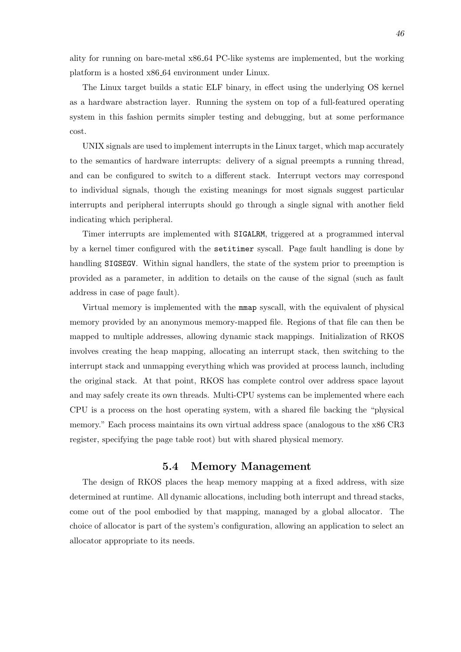The Linux target builds a static ELF binary, in effect using the underlying OS kernel as a hardware abstraction layer. Running the system on top of a full-featured operating system in this fashion permits simpler testing and debugging, but at some performance cost.

UNIX signals are used to implement interrupts in the Linux target, which map accurately to the semantics of hardware interrupts: delivery of a signal preempts a running thread, and can be configured to switch to a different stack. Interrupt vectors may correspond to individual signals, though the existing meanings for most signals suggest particular interrupts and peripheral interrupts should go through a single signal with another field indicating which peripheral.

Timer interrupts are implemented with SIGALRM, triggered at a programmed interval by a kernel timer configured with the setitimer syscall. Page fault handling is done by handling SIGSEGV. Within signal handlers, the state of the system prior to preemption is provided as a parameter, in addition to details on the cause of the signal (such as fault address in case of page fault).

Virtual memory is implemented with the mmap syscall, with the equivalent of physical memory provided by an anonymous memory-mapped file. Regions of that file can then be mapped to multiple addresses, allowing dynamic stack mappings. Initialization of RKOS involves creating the heap mapping, allocating an interrupt stack, then switching to the interrupt stack and unmapping everything which was provided at process launch, including the original stack. At that point, RKOS has complete control over address space layout and may safely create its own threads. Multi-CPU systems can be implemented where each CPU is a process on the host operating system, with a shared file backing the "physical memory." Each process maintains its own virtual address space (analogous to the x86 CR3 register, specifying the page table root) but with shared physical memory.

### **5.4 Memory Management**

<span id="page-53-0"></span>The design of RKOS places the heap memory mapping at a fixed address, with size determined at runtime. All dynamic allocations, including both interrupt and thread stacks, come out of the pool embodied by that mapping, managed by a global allocator. The choice of allocator is part of the system's configuration, allowing an application to select an allocator appropriate to its needs.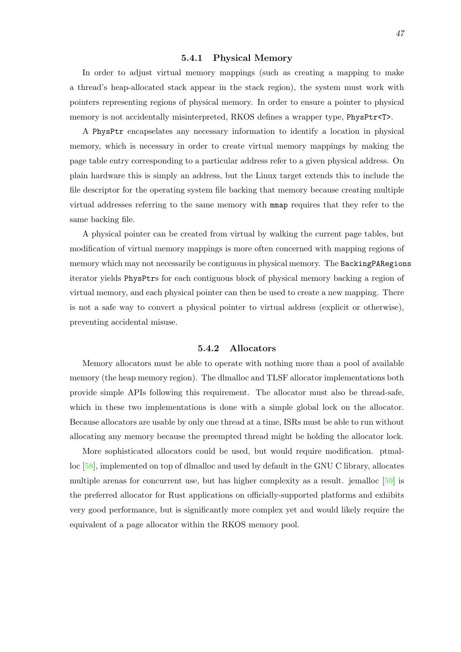#### **5.4.1 Physical Memory**

<span id="page-54-0"></span>In order to adjust virtual memory mappings (such as creating a mapping to make a thread's heap-allocated stack appear in the stack region), the system must work with pointers representing regions of physical memory. In order to ensure a pointer to physical memory is not accidentally misinterpreted, RKOS defines a wrapper type, PhysPtr<T>.

A PhysPtr encapselates any necessary information to identify a location in physical memory, which is necessary in order to create virtual memory mappings by making the page table entry corresponding to a particular address refer to a given physical address. On plain hardware this is simply an address, but the Linux target extends this to include the file descriptor for the operating system file backing that memory because creating multiple virtual addresses referring to the same memory with mmap requires that they refer to the same backing file.

A physical pointer can be created from virtual by walking the current page tables, but modification of virtual memory mappings is more often concerned with mapping regions of memory which may not necessarily be contiguous in physical memory. The BackingPARegions iterator yields PhysPtrs for each contiguous block of physical memory backing a region of virtual memory, and each physical pointer can then be used to create a new mapping. There is not a safe way to convert a physical pointer to virtual address (explicit or otherwise), preventing accidental misuse.

#### **5.4.2 Allocators**

<span id="page-54-2"></span>Memory allocators must be able to operate with nothing more than a pool of available memory (the heap memory region). The dlmalloc and TLSF allocator implementations both provide simple APIs following this requirement. The allocator must also be thread-safe, which in these two implementations is done with a simple global lock on the allocator. Because allocators are usable by only one thread at a time, ISRs must be able to run without allocating any memory because the preempted thread might be holding the allocator lock.

<span id="page-54-1"></span>More sophisticated allocators could be used, but would require modification. ptmalloc [58], implemented on top of dlmalloc and used by default in the GNU C library, allocates multiple arenas for concurrent use, but has higher complexity as a result. jemalloc [59] is the preferred allocator for Rust applications on officially-supported platforms and exhibits ver[y go](#page-70-6)od performance, but is significantly more complex yet and would likely require the equivalent of a page allocator within the RKOS memory pool.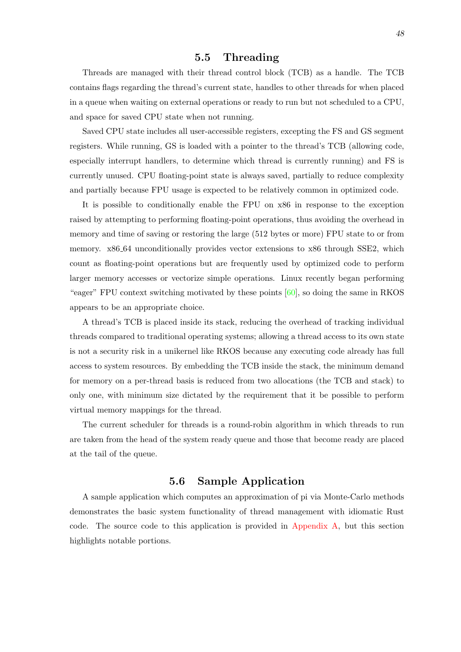### **5.5 Threading**

Threads are managed with their thread control block (TCB) as a handle. The TCB contains flags regarding the thread's current state, handles to other threads for when placed in a queue when waiting on external operations or ready to run but not scheduled to a CPU, and space for saved CPU state when not running.

Saved CPU state includes all user-accessible registers, excepting the FS and GS segment registers. While running, GS is loaded with a pointer to the thread's TCB (allowing code, especially interrupt handlers, to determine which thread is currently running) and FS is currently unused. CPU floating-point state is always saved, partially to reduce complexity and partially because FPU usage is expected to be relatively common in optimized code.

It is possible to conditionally enable the FPU on x86 in response to the exception raised by attempting to performing floating-point operations, thus avoiding the overhead in memory and time of saving or restoring the large (512 bytes or more) FPU state to or from memory. x86 64 unconditionally provides vector extensions to x86 through SSE2, which count as floating-point operations but are frequently used by optimized code to perform larger memory accesses or vectorize simple operations. Linux recently began performing "eager" FPU context switching motivated by these points  $[60]$ , so doing the same in RKOS appears to be an appropriate choice.

A thread's TCB is placed inside its stack, reducing the overhead of tracking individual threads compared to traditional operating systems; allowin[g a](#page-70-7) thread access to its own state is not a security risk in a unikernel like RKOS because any executing code already has full access to system resources. By embedding the TCB inside the stack, the minimum demand for memory on a per-thread basis is reduced from two allocations (the TCB and stack) to only one, with minimum size dictated by the requirement that it be possible to perform virtual memory mappings for the thread.

The current scheduler for threads is a round-robin algorithm in which threads to run are taken from the head of the system ready queue and those that become ready are placed at the tail of the queue.

## **5.6 Sample Application**

<span id="page-55-0"></span>A sample application which computes an approximation of pi via Monte-Carlo methods demonstrates the basic system functionality of thread management with idiomatic Rust code. The source code to this application is provided in Appendix A, but this section highlights notable portions.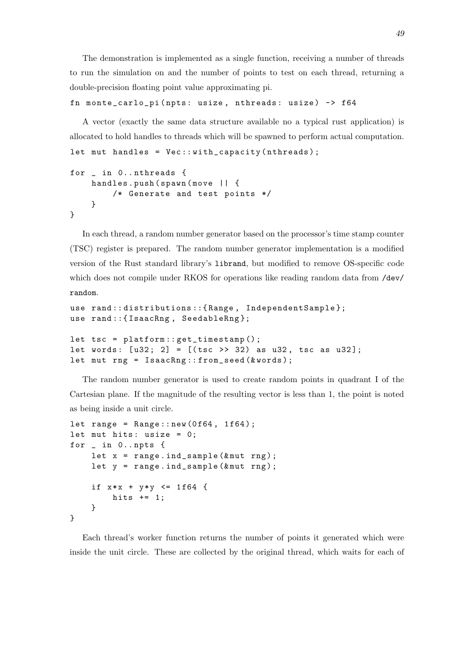The demonstration is implemented as a single function, receiving a number of threads to run the simulation on and the number of points to test on each thread, returning a double-precision floating point value approximating pi.

```
fn monte_carlo_pi ( npts : usize , nthreads : usize ) -> f64
```
A vector (exactly the same data structure available no a typical rust application) is allocated to hold handles to threads which will be spawned to perform actual computation.

```
let mut handles = Vec::with\_capacity(intheads);
```

```
for _ in 0.. nthreads {
    handles.push (spawn (move | | {
        /* Generate and test points */
    }
}
```
In each thread, a random number generator based on the processor's time stamp counter (TSC) register is prepared. The random number generator implementation is a modified version of the Rust standard library's librand, but modified to remove OS-specific code which does not compile under RKOS for operations like reading random data from /dev/ random.

```
use rand :: distributions ::{ Range , IndependentSample };
use rand:: { IsaacRng, SeedableRng};
let tsc = platform :: get_timestamp () ;
let words: [u32; 2] = [(tsc \gg 32) as u32, tsc as u32];
let mut rng = IsaacRng::from_seed (&words);
```
The random number generator is used to create random points in quadrant I of the Cartesian plane. If the magnitude of the resulting vector is less than 1, the point is noted as being inside a unit circle.

```
let range = Range::new(0f64, 1f64);let mut hits: usize = 0;
for _ in 0.. npts {
    let x = range. ind_sample (kmut rng);
    let y = range.index. ind_sample (&murng);
    if x * x + y * y \le 1f64 {
        hits += 1;
    }
}
```
Each thread's worker function returns the number of points it generated which were inside the unit circle. These are collected by the original thread, which waits for each of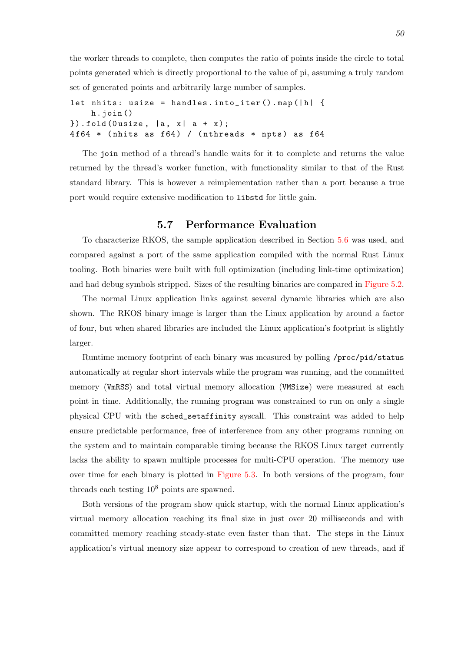the worker threads to complete, then computes the ratio of points inside the circle to total points generated which is directly proportional to the value of pi, assuming a truly random set of generated points and arbitrarily large number of samples.

```
let nhits: usize = handles.into_iter().map(|h| {
    h . join ()
}).fold (Ousize, |a, x| a + x);
4f64 * (nhits as f64) / (nthreads * npts) as f64
```
The join method of a thread's handle waits for it to complete and returns the value returned by the thread's worker function, with functionality similar to that of the Rust standard library. This is however a reimplementation rather than a port because a true port would require extensive modification to libstd for little gain.

### **5.7 Performance Evaluation**

To characterize RKOS, the sample application described in Section 5.6 was used, and compared against a port of the same application compiled with the normal Rust Linux tooling. Both binaries were built with full optimization (including link-time optimization) and had debug symbols stripped. Sizes of the resulting binaries are comp[ared](#page-55-0) in Figure 5.2.

The normal Linux application links against several dynamic libraries which are also shown. The RKOS binary image is larger than the Linux application by around a factor of four, but when shared libraries are included the Linux application's footprin[t is slightly](#page-58-0) larger.

Runtime memory footprint of each binary was measured by polling /proc/pid/status automatically at regular short intervals while the program was running, and the committed memory (VmRSS) and total virtual memory allocation (VMSize) were measured at each point in time. Additionally, the running program was constrained to run on only a single physical CPU with the sched\_setaffinity syscall. This constraint was added to help ensure predictable performance, free of interference from any other programs running on the system and to maintain comparable timing because the RKOS Linux target currently lacks the ability to spawn multiple processes for multi-CPU operation. The memory use over time for each binary is plotted in Figure 5.3. In both versions of the program, four threads each testing  $10^8$  points are spawned.

Both versions of the program show quick startup, with the normal Linux application's virtual memory allocation reaching its [final size](#page-59-0) in just over 20 milliseconds and with committed memory reaching steady-state even faster than that. The steps in the Linux application's virtual memory size appear to correspond to creation of new threads, and if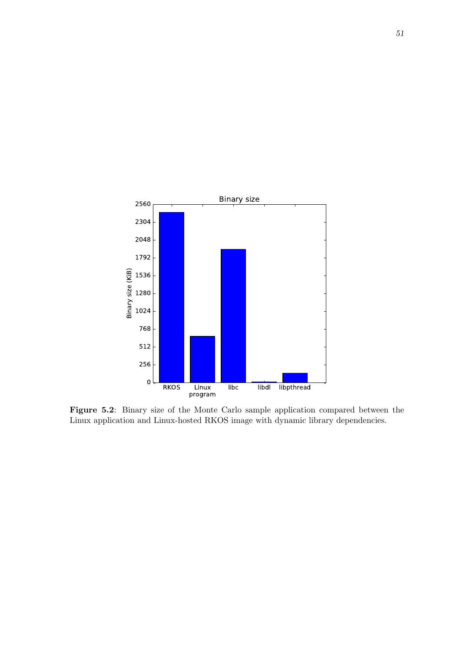<span id="page-58-0"></span>

**Figure 5.2**: Binary size of the Monte Carlo sample application compared between the Linux application and Linux-hosted RKOS image with dynamic library dependencies.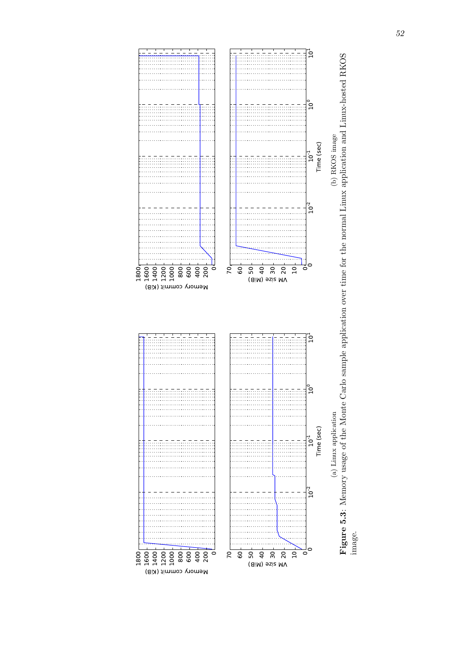<span id="page-59-0"></span>

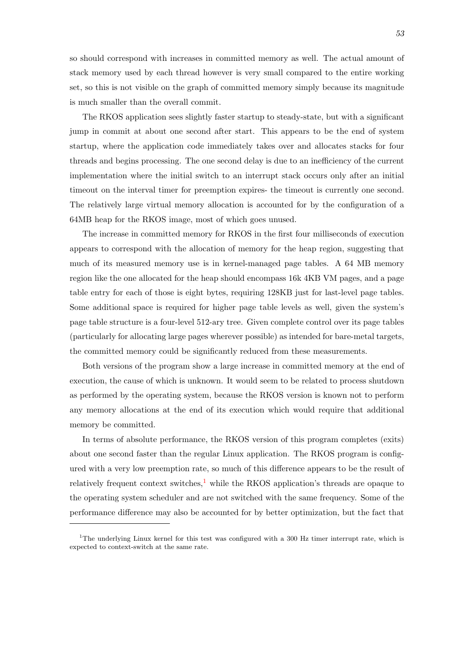so should correspond with increases in committed memory as well. The actual amount of stack memory used by each thread however is very small compared to the entire working set, so this is not visible on the graph of committed memory simply because its magnitude is much smaller than the overall commit.

The RKOS application sees slightly faster startup to steady-state, but with a significant jump in commit at about one second after start. This appears to be the end of system startup, where the application code immediately takes over and allocates stacks for four threads and begins processing. The one second delay is due to an inefficiency of the current implementation where the initial switch to an interrupt stack occurs only after an initial timeout on the interval timer for preemption expires- the timeout is currently one second. The relatively large virtual memory allocation is accounted for by the configuration of a 64MB heap for the RKOS image, most of which goes unused.

The increase in committed memory for RKOS in the first four milliseconds of execution appears to correspond with the allocation of memory for the heap region, suggesting that much of its measured memory use is in kernel-managed page tables. A 64 MB memory region like the one allocated for the heap should encompass 16k 4KB VM pages, and a page table entry for each of those is eight bytes, requiring 128KB just for last-level page tables. Some additional space is required for higher page table levels as well, given the system's page table structure is a four-level 512-ary tree. Given complete control over its page tables (particularly for allocating large pages wherever possible) as intended for bare-metal targets, the committed memory could be significantly reduced from these measurements.

Both versions of the program show a large increase in committed memory at the end of execution, the cause of which is unknown. It would seem to be related to process shutdown as performed by the operating system, because the RKOS version is known not to perform any memory allocations at the end of its execution which would require that additional memory be committed.

In terms of absolute performance, the RKOS version of this program completes (exits) about one second faster than the regular Linux application. The RKOS program is configured with a very low preemption rate, so much of this difference appears to be the result of relatively frequent context switches, $\frac{1}{2}$  while the RKOS application's threads are opaque to the operating system scheduler and are not switched with the same frequency. Some of the performance difference may also be accounted for by better optimization, but the fact that

<sup>&</sup>lt;sup>1</sup>The underlying Linux kernel for this test was configured with a 300 Hz timer interrupt rate, which is expected to context-switch at the same rate.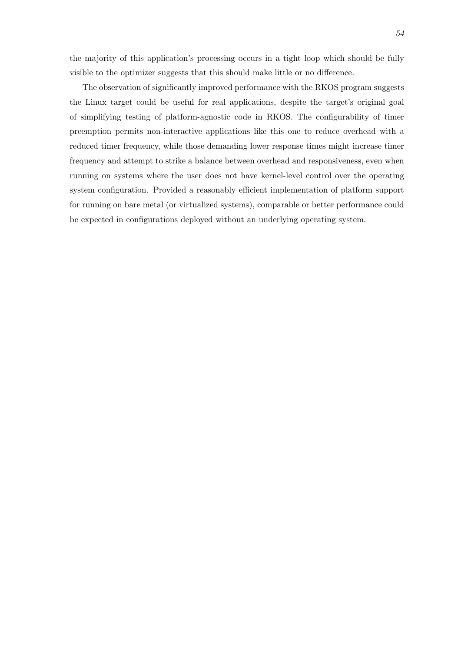the majority of this application's processing occurs in a tight loop which should be fully visible to the optimizer suggests that this should make little or no difference.

The observation of significantly improved performance with the RKOS program suggests the Linux target could be useful for real applications, despite the target's original goal of simplifying testing of platform-agnostic code in RKOS. The configurability of timer preemption permits non-interactive applications like this one to reduce overhead with a reduced timer frequency, while those demanding lower response times might increase timer frequency and attempt to strike a balance between overhead and responsiveness, even when running on systems where the user does not have kernel-level control over the operating system configuration. Provided a reasonably efficient implementation of platform support for running on bare metal (or virtualized systems), comparable or better performance could be expected in configurations deployed without an underlying operating system.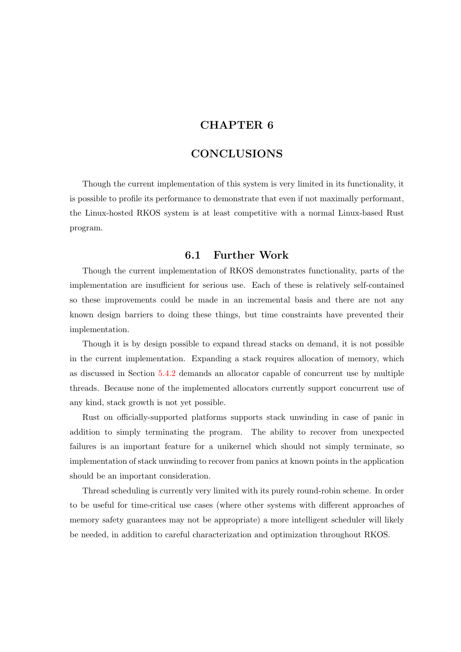## **CHAPTER 6**

## **CONCLUSIONS**

Though the current implementation of this system is very limited in its functionality, it is possible to profile its performance to demonstrate that even if not maximally performant, the Linux-hosted RKOS system is at least competitive with a normal Linux-based Rust program.

### **6.1 Further Work**

<span id="page-62-0"></span>Though the current implementation of RKOS demonstrates functionality, parts of the implementation are insufficient for serious use. Each of these is relatively self-contained so these improvements could be made in an incremental basis and there are not any known design barriers to doing these things, but time constraints have prevented their implementation.

Though it is by design possible to expand thread stacks on demand, it is not possible in the current implementation. Expanding a stack requires allocation of memory, which as discussed in Section 5.4.2 demands an allocator capable of concurrent use by multiple threads. Because none of the implemented allocators currently support concurrent use of any kind, stack growth is not yet possible.

Rust on officially-su[pport](#page-54-2)ed platforms supports stack unwinding in case of panic in addition to simply terminating the program. The ability to recover from unexpected failures is an important feature for a unikernel which should not simply terminate, so implementation of stack unwinding to recover from panics at known points in the application should be an important consideration.

Thread scheduling is currently very limited with its purely round-robin scheme. In order to be useful for time-critical use cases (where other systems with different approaches of memory safety guarantees may not be appropriate) a more intelligent scheduler will likely be needed, in addition to careful characterization and optimization throughout RKOS.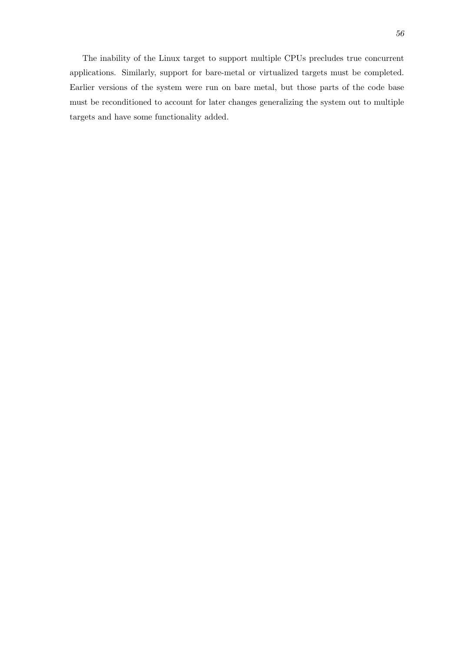The inability of the Linux target to support multiple CPUs precludes true concurrent applications. Similarly, support for bare-metal or virtualized targets must be completed. Earlier versions of the system were run on bare metal, but those parts of the code base must be reconditioned to account for later changes generalizing the system out to multiple targets and have some functionality added.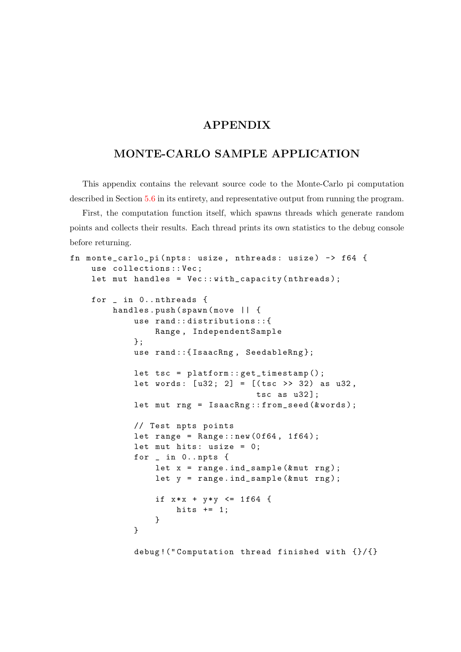## **APPENDIX**

## **MONTE-CARLO SAMPLE APPLICATION**

This appendix contains the relevant source code to the Monte-Carlo pi computation described in Section 5.6 in its entirety, and representative output from running the program.

First, the computation function itself, which spawns threads which generate random points and collects their results. Each thread prints its own statistics to the debug console before returning.

```
fn monte_carlo_pi ( npts : usize , nthreads : usize ) -> f64 {
    use collections :: Vec ;
    let mut handles = Vec :: with_capacity (nthreads);
    for _ in 0.. nthreads {
        handles.push (spawn (move | | {
             use rand:: distributions:: {
                 Range , IndependentSample
             };
             use rand:: {IsaacRng, SeedableRng};
             let tsc = platform :: get_timestamp () ;
             let words: [u32; 2] = [(tsc \gg 32) as u32,
                                      tsc as u32];
             let mut rng = IsaacRng::from_seed (&words);
            // Test npts points
             let range = Range::new(0f64, 1f64);let mut hits: usize = 0;
             for _ in 0.. npts {
                 let x = range.index. ind_sample (&mu rng);
                 let y = range.index\_sample(kmut rng);if x * x + y * y \le 1f64 {
                     hits += 1;}
             }
             debug !(" Computation thread finished with {}/{}
```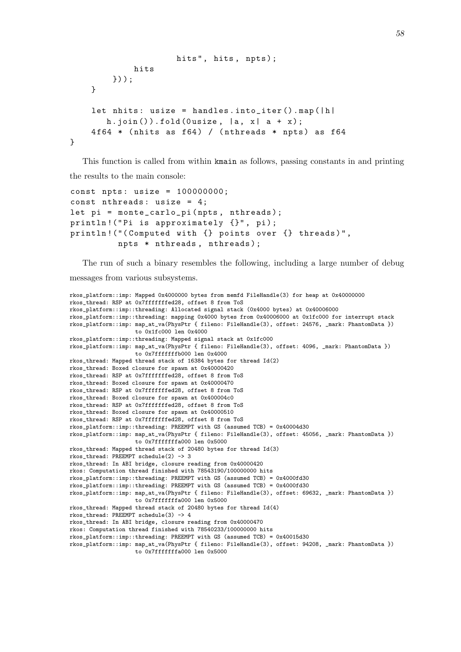```
hits", hits, npts);
            hits
        }) ) ;
    }
    let nhits: usize = handles.into_iter().map(|h|h. join ()). fold (Ousize, |a, x| a + x);
    4f64 * (nhits as f64) / (nthreads * npts) as f64
}
```
This function is called from within kmain as follows, passing constants in and printing the results to the main console:

```
const npts: usize = 100000000;
const nthreads: usize = 4;
let pi = monte_carlo_pi (npts, nthreads);
println! ("Pi is approximately {}", pi);
println!("(Computed with {} points over {} threads)",
         npts * nthreads , nthreads ) ;
```
The run of such a binary resembles the following, including a large number of debug messages from various subsystems.

```
rkos_platform::imp: Mapped 0x4000000 bytes from memfd FileHandle(3) for heap at 0x40000000
rkos_thread: RSP at 0x7fffffffed28, offset 8 from ToS
rkos_platform::imp::threading: Allocated signal stack (0x4000 bytes) at 0x40006000
rkos_platform::imp::threading: mapping 0x4000 bytes from 0x40006000 at 0x1fc000 for interrupt stack
rkos_platform::imp: map_at_va(PhysPtr { fileno: FileHandle(3), offset: 24576, _mark: PhantomData })
                    to 0x1fc000 len 0x4000
rkos_platform::imp::threading: Mapped signal stack at 0x1fc000
rkos_platform::imp: map_at_va(PhysPtr { fileno: FileHandle(3), offset: 4096, _mark: PhantomData })
                    to 0x7fffffffb000 len 0x4000
rkos_thread: Mapped thread stack of 16384 bytes for thread Id(2)
rkos_thread: Boxed closure for spawn at 0x40000420
rkos_thread: RSP at 0x7fffffffed28, offset 8 from ToS
rkos_thread: Boxed closure for spawn at 0x40000470
rkos_thread: RSP at 0x7fffffffed28, offset 8 from ToS
rkos_thread: Boxed closure for spawn at 0x400004c0
rkos_thread: RSP at 0x7fffffffed28, offset 8 from ToS
rkos_thread: Boxed closure for spawn at 0x40000510
rkos_thread: RSP at 0x7fffffffed28, offset 8 from ToS
rkos_platform::imp::threading: PREEMPT with GS (assumed TCB) = 0x40004d30
rkos_platform::imp: map_at_va(PhysPtr { fileno: FileHandle(3), offset: 45056, _mark: PhantomData })
                   to 0x7fffffffa000 len 0x5000
rkos_thread: Mapped thread stack of 20480 bytes for thread Id(3)
rkos_thread: PREEMPT schedule(2) -> 3
rkos_thread: In ABI bridge, closure reading from 0x40000420
rkos: Computation thread finished with 78543190/100000000 hits
rkos_platform::imp::threading: PREEMPT with GS (assumed TCB) = 0x4000fd30
rkos_platform::imp::threading: PREEMPT with GS (assumed TCB) = 0x4000fd30
rkos_platform::imp: map_at_va(PhysPtr { fileno: FileHandle(3), offset: 69632, _mark: PhantomData })
                    to 0x7fffffffa000 len 0x5000
rkos_thread: Mapped thread stack of 20480 bytes for thread Id(4)
rkos_thread: PREEMPT schedule(3) -> 4
rkos_thread: In ABI bridge, closure reading from 0x40000470
rkos: Computation thread finished with 78540233/100000000 hits
rkos_platform::imp::threading: PREEMPT with GS (assumed TCB) = 0x40015d30
rkos_platform::imp: map_at_va(PhysPtr { fileno: FileHandle(3), offset: 94208, _mark: PhantomData })
                    to 0x7fffffffa000 len 0x5000
```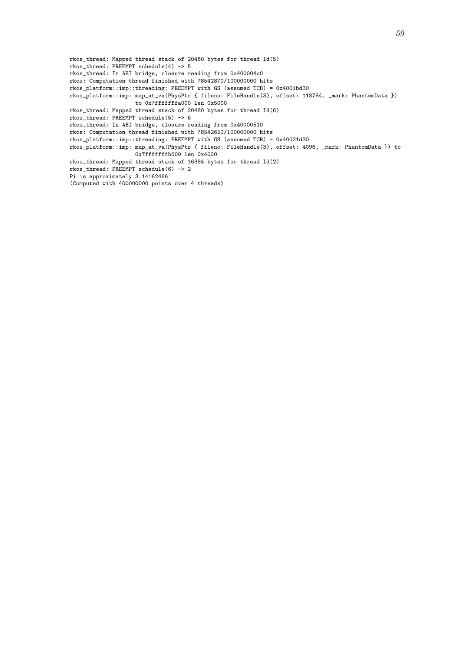rkos\_thread: Mapped thread stack of 20480 bytes for thread Id(5) rkos\_thread: PREEMPT schedule(4) -> 5 rkos\_thread: In ABI bridge, closure reading from 0x400004c0 rkos: Computation thread finished with 78542870/100000000 hits rkos\_platform::imp::threading: PREEMPT with GS (assumed TCB) = 0x4001bd30 rkos\_platform::imp: map\_at\_va(PhysPtr { fileno: FileHandle(3), offset: 118784, \_mark: PhantomData }) to 0x7fffffffa000 len 0x5000 rkos\_thread: Mapped thread stack of 20480 bytes for thread Id(6) rkos\_thread: PREEMPT schedule(5) -> 6 rkos\_thread: In ABI bridge, closure reading from 0x40000510 rkos: Computation thread finished with 78542650/100000000 hits rkos\_platform::imp::threading: PREEMPT with GS (assumed TCB) = 0x40021d30 rkos\_platform::imp: map\_at\_va(PhysPtr { fileno: FileHandle(3), offset: 4096, \_mark: PhantomData }) to 0x7fffffffb000 len 0x4000 rkos\_thread: Mapped thread stack of 16384 bytes for thread Id(2) rkos\_thread: PREEMPT schedule(6) -> 2 Pi is approximately 3.14162466 (Computed with 400000000 points over 4 threads)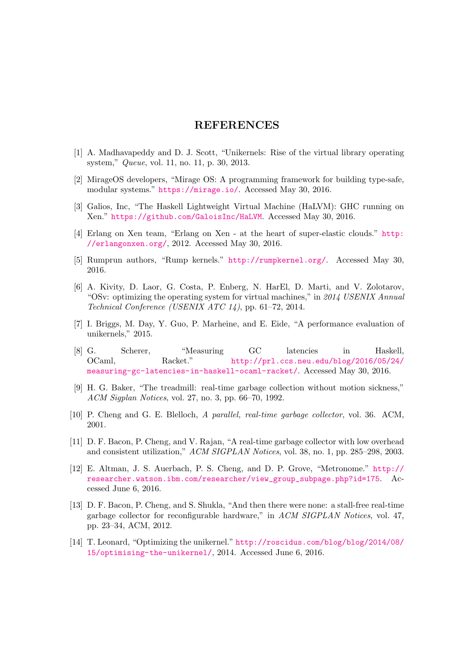## **REFERENCES**

- [1] A. Madhavapeddy and D. J. Scott, "Unikernels: Rise of the virtual library operating system," *Queue*, vol. 11, no. 11, p. 30, 2013.
- <span id="page-67-0"></span>[2] MirageOS developers, "Mirage OS: A programming framework for building type-safe, modular systems." https://mirage.io/. Accessed May 30, 2016.
- [3] Galios, Inc, "The Haskell Lightweight Virtual Machine (HaLVM): GHC running on Xen." https://github.com/GaloisInc/HaLVM. Accessed May 30, 2016.
- [4] Erlang on Xen tea[m, "Erlang on Xen -](https://mirage.io/) at the heart of super-elastic clouds." http: //erlangonxen.org/, 2012. Accessed May 30, 2016.
- [5] Rump[run authors, "Rump kernels."](https://github.com/GaloisInc/HaLVM) http://rumpkernel.org/. Accessed May 30, 2016.
- [6] [A. Kivity, D. Laor, G](http://erlangonxen.org/). Costa, P. Enberg, N. HarEl, D. Marti, and V. Zolotarov, "OSv: optimizing the operating syste[m for virtual machines," in](http://rumpkernel.org/) *2014 USENIX Annual Technical Conference (USENIX ATC 14)*, pp. 61–72, 2014.
- <span id="page-67-1"></span>[7] I. Briggs, M. Day, Y. Guo, P. Marheine, and E. Eide, "A performance evaluation of unikernels," 2015.
- <span id="page-67-2"></span>[8] G. Scherer, "Measuring GC latencies in Haskell, OCaml, Racket." http://prl.ccs.neu.edu/blog/2016/05/24/ measuring-gc-latencies-in-haskell-ocaml-racket/. Accessed May 30, 2016.
- <span id="page-67-3"></span>[9] H. G. Baker, "The treadmill: real-time garbage collection without motion sickness," *ACM Sigplan Notices*, vol. 27, no. 3, p[p. 66–70, 1992.](http://prl.ccs.neu.edu/blog/2016/05/24/measuring-gc-latencies-in-haskell-ocaml-racket/)
- <span id="page-67-4"></span>[10] [P. Cheng and G. E. Blelloch,](http://prl.ccs.neu.edu/blog/2016/05/24/measuring-gc-latencies-in-haskell-ocaml-racket/) *A parallel, real-time garbage collector*, vol. 36. ACM, 2001.
- <span id="page-67-5"></span>[11] D. F. Bacon, P. Cheng, and V. Rajan, "A real-time garbage collector with low overhead and consistent utilization," *ACM SIGPLAN Notices*, vol. 38, no. 1, pp. 285–298, 2003.
- <span id="page-67-6"></span>[12] E. Altman, J. S. Auerbach, P. S. Cheng, and D. P. Grove, "Metronome." http:// researcher.watson.ibm.com/researcher/view\_group\_subpage.php?id=175. Accessed June 6, 2016.
- <span id="page-67-7"></span>[13] D. F. Bacon, P. Cheng, and S. Shukla, "And then there were none: a stall-free [real-time](http://researcher.watson.ibm.com/researcher/view_group_subpage.php?id=175) [garbage collector for reconfigurable hardware," in](http://researcher.watson.ibm.com/researcher/view_group_subpage.php?id=175) *ACM SIGPLAN Notices*, vol. 47, pp. 23–34, ACM, 2012.
- <span id="page-67-9"></span><span id="page-67-8"></span>[14] T. Leonard, "Optimizing the unikernel." http://roscidus.com/blog/blog/2014/08/ 15/optimising-the-unikernel/, 2014. Accessed June 6, 2016.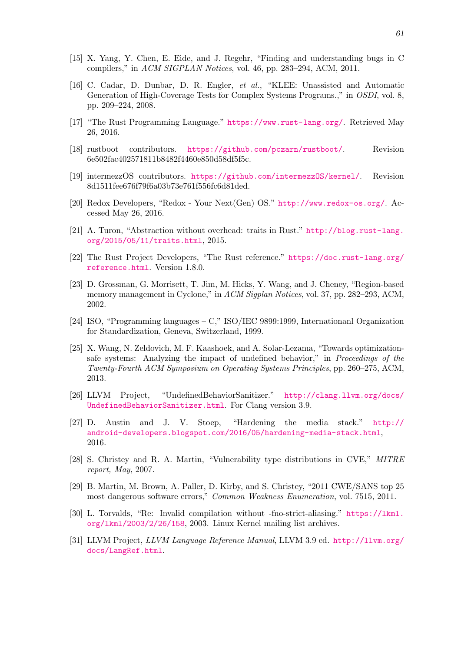- [15] X. Yang, Y. Chen, E. Eide, and J. Regehr, "Finding and understanding bugs in C compilers," in *ACM SIGPLAN Notices*, vol. 46, pp. 283–294, ACM, 2011.
- <span id="page-68-0"></span>[16] C. Cadar, D. Dunbar, D. R. Engler, *et al.*, "KLEE: Unassisted and Automatic Generation of High-Coverage Tests for Complex Systems Programs.," in *OSDI*, vol. 8, pp. 209–224, 2008.
- <span id="page-68-1"></span>[17] "The Rust Programming Language." https://www.rust-lang.org/. Retrieved May 26, 2016.
- [18] rustboot contributors. https://github.com/pczarn/rustboot/. Revision 6e502fac402571811b8482f4460e850d58[df5f5c.](https://www.rust-lang.org/)
- <span id="page-68-15"></span>[19] intermezzOS contributors. https://github.com/intermezzOS/kernel/. Revision 8d1511fee676f79f6a03b73e7[61f556fc6d81ded.](https://github.com/pczarn/rustboot/)
- <span id="page-68-14"></span>[20] Redox Developers, "Redox - Your Next(Gen) OS." http://www.redox-os.org/. Accessed May 26, 2016.
- <span id="page-68-2"></span>[21] A. Turon, "Abstraction without overhead: traits in Rust." http://blog.rust-lang. org/2015/05/11/traits.html, 2015.
- <span id="page-68-3"></span>[22] The Rust Project Developers, "The Rust reference." https://doc.rust-lang.org/ reference.html. Version 1.8.0.
- <span id="page-68-4"></span>[23] [D. Grossman, G. Morrisett, T. J](http://blog.rust-lang.org/2015/05/11/traits.html)im, M. Hicks, Y. Wang, and J. Cheney, "Region-based memory management in Cyclone," in *ACM Sigplan Notices*[, vol. 37, pp. 282–293, ACM,](https://doc.rust-lang.org/reference.html) [2002.](https://doc.rust-lang.org/reference.html)
- <span id="page-68-5"></span>[24] ISO, "Programming languages – C," ISO/IEC 9899:1999, Internationanl Organization for Standardization, Geneva, Switzerland, 1999.
- <span id="page-68-6"></span>[25] X. Wang, N. Zeldovich, M. F. Kaashoek, and A. Solar-Lezama, "Towards optimizationsafe systems: Analyzing the impact of undefined behavior," in *Proceedings of the Twenty-Fourth ACM Symposium on Operating Systems Principles*, pp. 260–275, ACM, 2013.
- <span id="page-68-7"></span>[26] LLVM Project, "UndefinedBehaviorSanitizer." http://clang.llvm.org/docs/ UndefinedBehaviorSanitizer.html. For Clang version 3.9.
- <span id="page-68-8"></span>[27] D. Austin and J. V. Stoep, "Hardening the media stack." http:// android-developers.blogspot.com/2016/05/hard[ening-media-stack.html](http://clang.llvm.org/docs/UndefinedBehaviorSanitizer.html), [2016.](http://clang.llvm.org/docs/UndefinedBehaviorSanitizer.html)
- <span id="page-68-9"></span>[28] S. Christey and R. A. Martin, "Vulnerability type distributions in CVE," *[MITRE](http://android-developers.blogspot.com/2016/05/hardening-media-stack.html) [report, May](http://android-developers.blogspot.com/2016/05/hardening-media-stack.html)*, 2007.
- <span id="page-68-10"></span>[29] B. Martin, M. Brown, A. Paller, D. Kirby, and S. Christey, "2011 CWE/SANS top 25 most dangerous software errors," *Common Weakness Enumeration*, vol. 7515, 2011.
- <span id="page-68-11"></span>[30] L. Torvalds, "Re: Invalid compilation without -fno-strict-aliasing." https://lkml. org/lkml/2003/2/26/158, 2003. Linux Kernel mailing list archives.
- <span id="page-68-13"></span><span id="page-68-12"></span>[31] LLVM Project, *LLVM Language Reference Manual*, LLVM 3.9 ed. http://llvm.org/ docs/LangRef.html.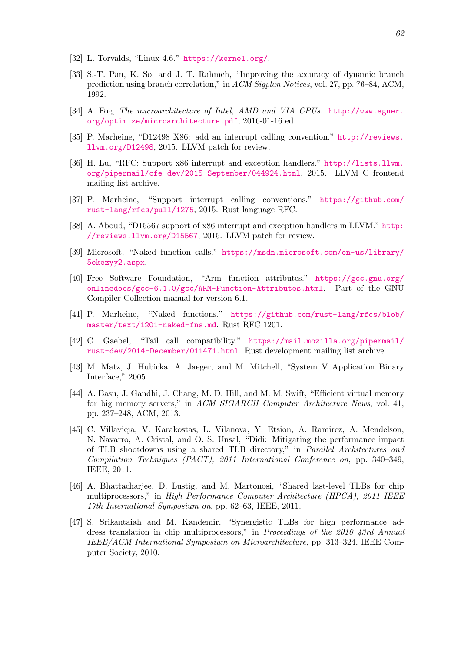- [32] L. Torvalds, "Linux 4.6." https://kernel.org/.
- [33] S.-T. Pan, K. So, and J. T. Rahmeh, "Improving the accuracy of dynamic branch prediction using branch correlation," in *ACM Sigplan Notices*, vol. 27, pp. 76–84, ACM, 1992.
- <span id="page-69-1"></span><span id="page-69-0"></span>[34] A. Fog, *The microarchitecture of Intel, AMD and VIA CPUs*. http://www.agner. org/optimize/microarchitecture.pdf, 2016-01-16 ed.
- <span id="page-69-2"></span>[35] P. Marheine, "D12498 X86: add an interrupt calling convention." http://reviews. llvm.org/D12498, 2015. LLVM patch for review.
- <span id="page-69-3"></span>[36] [H. Lu, "RFC: Support x86 interrupt and](http://www.agner.org/optimize/microarchitecture.pdf) exception handlers." http://lists.llvm. org/pipermail/cfe-dev/2015-September/044924.html, 2015. [LLVM C frontend](http://reviews.llvm.org/D12498) [mailing list archiv](http://reviews.llvm.org/D12498)e.
- <span id="page-69-4"></span>[37] P. Marheine, "Support interrupt calling conventions." h[ttps://github.com/](http://lists.llvm.org/pipermail/cfe-dev/2015-September/044924.html) [rust-lang/rfcs/pull/1275](http://lists.llvm.org/pipermail/cfe-dev/2015-September/044924.html), 2015. Rust language RFC.
- [38] A. Aboud, "D15567 support of x86 interrupt and exception handlers in LLVM." http: //reviews.llvm.org/D15567, 2015. LLVM patch for review.
- <span id="page-69-5"></span>[39] [Microsoft, "Naked function](https://github.com/rust-lang/rfcs/pull/1275) calls." https://msdn.microsoft.com/en-us/library/ 5ekezyy2.aspx.
- <span id="page-69-6"></span>[40] [Free Software Foundation,](http://reviews.llvm.org/D15567) "Arm function attributes." https://gcc.gnu.org/ onlinedocs/gcc-6.1.0/gcc/ARM-F[unction-Attributes.html](https://msdn.microsoft.com/en-us/library/5ekezyy2.aspx). Part of the GNU [Compiler Collec](https://msdn.microsoft.com/en-us/library/5ekezyy2.aspx)tion manual for version 6.1.
- <span id="page-69-7"></span>[41] P. Marheine, "Naked functions." https://github.com/[rust-lang/rfcs/blob/](https://gcc.gnu.org/onlinedocs/gcc-6.1.0/gcc/ARM-Function-Attributes.html) [master/text/1201-naked-fns.md](https://gcc.gnu.org/onlinedocs/gcc-6.1.0/gcc/ARM-Function-Attributes.html). Rust RFC 1201.
- [42] C. Gaebel, "Tail call compatibility." https://mail.mozilla.org/pipermail/ rust-dev/2014-December/011471.html[. Rust development mailing list archive.](https://github.com/rust-lang/rfcs/blob/master/text/1201-naked-fns.md)
- <span id="page-69-8"></span>[43] [M. Matz, J. Hubicka, A. Jaeger,](https://github.com/rust-lang/rfcs/blob/master/text/1201-naked-fns.md) and M. Mitchell, "System V Application Binary Interface," 2005.
- [44] [A. Basu, J. Gandhi, J. Chang, M. D. Hill](https://mail.mozilla.org/pipermail/rust-dev/2014-December/011471.html), and M. M. Swift, "Efficient virtual memory for big memory servers," in *ACM SIGARCH Computer Architecture News*, vol. 41, pp. 237–248, ACM, 2013.
- <span id="page-69-9"></span>[45] C. Villavieja, V. Karakostas, L. Vilanova, Y. Etsion, A. Ramirez, A. Mendelson, N. Navarro, A. Cristal, and O. S. Unsal, "Didi: Mitigating the performance impact of TLB shootdowns using a shared TLB directory," in *Parallel Architectures and Compilation Techniques (PACT), 2011 International Conference on*, pp. 340–349, IEEE, 2011.
- <span id="page-69-10"></span>[46] A. Bhattacharjee, D. Lustig, and M. Martonosi, "Shared last-level TLBs for chip multiprocessors," in *High Performance Computer Architecture (HPCA), 2011 IEEE 17th International Symposium on*, pp. 62–63, IEEE, 2011.
- [47] S. Srikantaiah and M. Kandemir, "Synergistic TLBs for high performance address translation in chip multiprocessors," in *Proceedings of the 2010 43rd Annual IEEE/ACM International Symposium on Microarchitecture*, pp. 313–324, IEEE Computer Society, 2010.